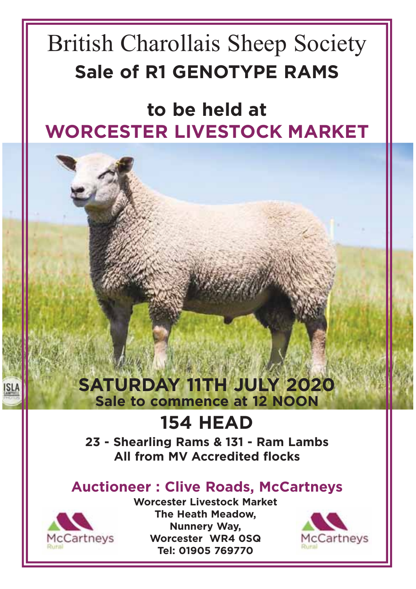# British Charollais Sheep Society **Sale of R1 GENOTYPE RAMS**

**to be held at WORCESTER LIVESTOCK MARKET**

## **SATURDAY 11TH JULY 2020 Sale to commence at 12 NOON**

# **154 HEAD**

**23 - Shearling Rams & 131 - Ram Lambs All from MV Accredited flocks**

## **Auctioneer : Clive Roads, McCartneys**



**Worcester Livestock Market The Heath Meadow, Nunnery Way, Worcester WR4 0SQ Tel: 01905 769770**

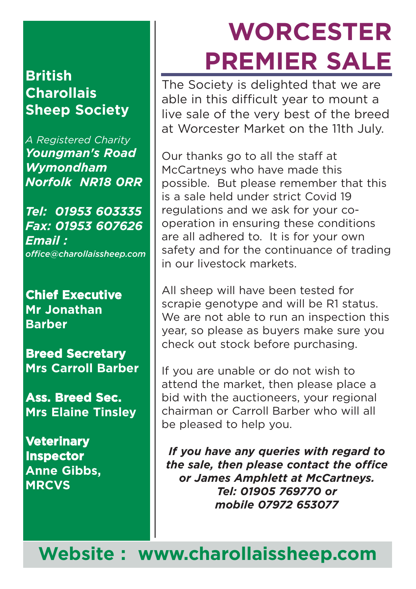## **British Charollais Sheep Society**

*A Registered Charity Youngman's Road Wymondham Norfolk NR18 0RR*

*Tel: 01953 603335 Fax: 01953 607626 Email : office@charollaissheep.com*

**Chief Executive Mr Jonathan Barber**

**Breed Secretary Mrs Carroll Barber**

**Ass. Breed Sec. Mrs Elaine Tinsley**

**Veterinary Inspector Anne Gibbs, MRCVS**

# **WORCESTER PREMIER SALE**

The Society is delighted that we are able in this difficult year to mount a live sale of the very best of the breed at Worcester Market on the 11th July.

Our thanks go to all the staff at McCartneys who have made this possible. But please remember that this is a sale held under strict Covid 19 regulations and we ask for your cooperation in ensuring these conditions are all adhered to. It is for your own safety and for the continuance of trading in our livestock markets.

All sheep will have been tested for scrapie genotype and will be R1 status. We are not able to run an inspection this year, so please as buyers make sure you check out stock before purchasing.

If you are unable or do not wish to attend the market, then please place a bid with the auctioneers, your regional chairman or Carroll Barber who will all be pleased to help you.

*If you have any queries with regard to the sale, then please contact the office or James Amphlett at McCartneys. Tel: 01905 769770 or mobile 07972 653077*

**Website : www.charollaissheep.com**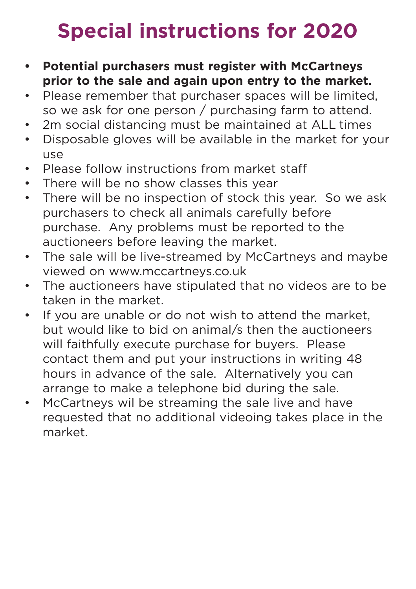# **Special instructions for 2020**

- **• Potential purchasers must register with McCartneys prior to the sale and again upon entry to the market.**
- Please remember that purchaser spaces will be limited, so we ask for one person / purchasing farm to attend.
- 2m social distancing must be maintained at ALL times
- Disposable gloves will be available in the market for your use
- Please follow instructions from market staff
- There will be no show classes this year
- There will be no inspection of stock this year. So we ask purchasers to check all animals carefully before purchase. Any problems must be reported to the auctioneers before leaving the market.
- The sale will be live-streamed by McCartneys and maybe viewed on www.mccartneys.co.uk
- The auctioneers have stipulated that no videos are to be taken in the market.
- If you are unable or do not wish to attend the market, but would like to bid on animal/s then the auctioneers will faithfully execute purchase for buyers. Please contact them and put your instructions in writing 48 hours in advance of the sale. Alternatively you can arrange to make a telephone bid during the sale.
- McCartneys wil be streaming the sale live and have requested that no additional videoing takes place in the market.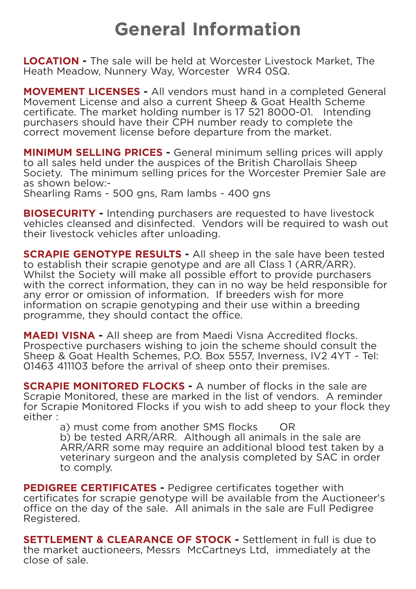# **General Information**

**LOCATION -** The sale will be held at Worcester Livestock Market, The Heath Meadow, Nunnery Way, Worcester WR4 0SQ.

**MOVEMENT LICENSES -** All vendors must hand in a completed General Movement License and also a current Sheep & Goat Health Scheme certificate. The market holding number is 17 521 8000-01. Intending purchasers should have their CPH number ready to complete the correct movement license before departure from the market.

**MINIMUM SELLING PRICES -** General minimum selling prices will apply to all sales held under the auspices of the British Charollais Sheep Society. The minimum selling prices for the Worcester Premier Sale are as shown below:-

Shearling Rams - 500 gns, Ram lambs - 400 gns

**BIOSECURITY -** Intending purchasers are requested to have livestock vehicles cleansed and disinfected. Vendors will be required to wash out their livestock vehicles after unloading.

**SCRAPIE GENOTYPE RESULTS -** All sheep in the sale have been tested to establish their scrapie genotype and are all Class 1 (ARR/ARR). Whilst the Society will make all possible effort to provide purchasers with the correct information, they can in no way be held responsible for any error or omission of information. If breeders wish for more information on scrapie genotyping and their use within a breeding programme, they should contact the office.

**MAEDI VISNA -** All sheep are from Maedi Visna Accredited flocks. Prospective purchasers wishing to join the scheme should consult the Sheep & Goat Health Schemes, P.O. Box 5557, Inverness, IV2 4YT - Tel: 01463 411103 before the arrival of sheep onto their premises.

**SCRAPIE MONITORED FLOCKS -** A number of flocks in the sale are Scrapie Monitored, these are marked in the list of vendors. A reminder for Scrapie Monitored Flocks if you wish to add sheep to your flock they either :

a) must come from another SMS flocks OR

b) be tested ARR/ARR. Although all animals in the sale are ARR/ARR some may require an additional blood test taken by a veterinary surgeon and the analysis completed by SAC in order to comply.

**PEDIGREE CERTIFICATES -** Pedigree certificates together with certificates for scrapie genotype will be available from the Auctioneer's office on the day of the sale. All animals in the sale are Full Pedigree Registered.

**SETTLEMENT & CLEARANCE OF STOCK -** Settlement in full is due to the market auctioneers, Messrs McCartneys Ltd, immediately at the close of sale.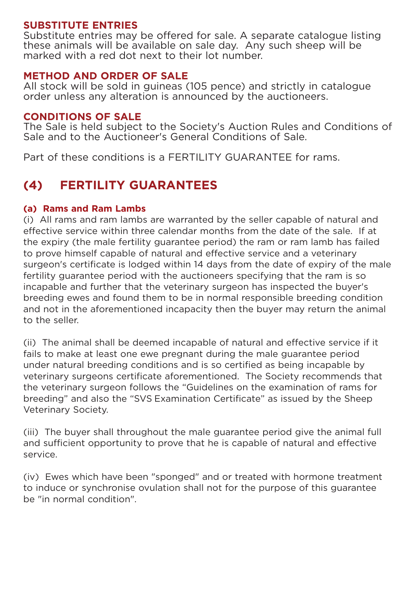### **SUBSTITUTE ENTRIES**

Substitute entries may be offered for sale. A separate catalogue listing these animals will be available on sale day. Any such sheep will be marked with a red dot next to their lot number.

### **METHOD AND ORDER OF SALE**

All stock will be sold in guineas (105 pence) and strictly in catalogue order unless any alteration is announced by the auctioneers.

### **CONDITIONS OF SALE**

The Sale is held subject to the Society's Auction Rules and Conditions of Sale and to the Auctioneer's General Conditions of Sale.

Part of these conditions is a FERTILITY GUARANTEE for rams.

### **(4) FERTILITY GUARANTEES**

### **(a) Rams and Ram Lambs**

(i) All rams and ram lambs are warranted by the seller capable of natural and effective service within three calendar months from the date of the sale. If at the expiry (the male fertility guarantee period) the ram or ram lamb has failed to prove himself capable of natural and effective service and a veterinary surgeon's certificate is lodged within 14 days from the date of expiry of the male fertility guarantee period with the auctioneers specifying that the ram is so incapable and further that the veterinary surgeon has inspected the buyer's breeding ewes and found them to be in normal responsible breeding condition and not in the aforementioned incapacity then the buyer may return the animal to the seller.

(ii) The animal shall be deemed incapable of natural and effective service if it fails to make at least one ewe pregnant during the male guarantee period under natural breeding conditions and is so certified as being incapable by veterinary surgeons certificate aforementioned. The Society recommends that the veterinary surgeon follows the "Guidelines on the examination of rams for breeding" and also the "SVS Examination Certificate" as issued by the Sheep Veterinary Society.

(iii) The buyer shall throughout the male guarantee period give the animal full and sufficient opportunity to prove that he is capable of natural and effective service.

(iv) Ewes which have been "sponged" and or treated with hormone treatment to induce or synchronise ovulation shall not for the purpose of this guarantee be "in normal condition".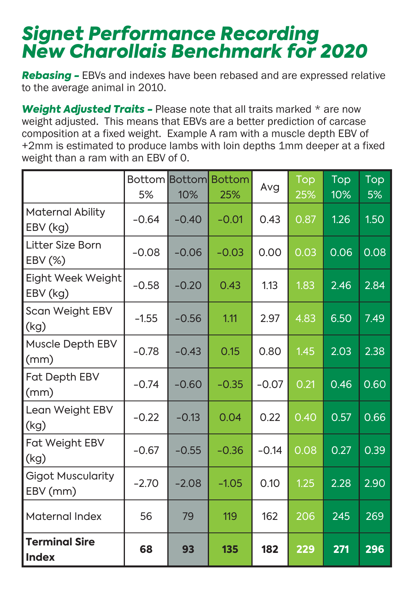# *Signet Performance Recording New Charollais Benchmark for 2020*

**Rebasing -** EBVs and indexes have been rebased and are expressed relative to the average animal in 2010.

**Weight Adjusted Traits - Please note that all traits marked \* are now** weight adjusted. This means that EBVs are a better prediction of carcase composition at a fixed weight. Example A ram with a muscle depth EBV of +2mm is estimated to produce lambs with loin depths 1mm deeper at a fixed weight than a ram with an EBV of 0.

|                                      | 5%      | 10%     | <b>Bottom Bottom Bottom</b><br>25% | Avg     | Top<br>25% | Top<br>10% | Top<br>5% |
|--------------------------------------|---------|---------|------------------------------------|---------|------------|------------|-----------|
| <b>Maternal Ability</b><br>EBV (kg)  | $-0.64$ | $-0.40$ | $-0.01$                            | 0.43    | 0.87       | 1.26       | 1.50      |
| Litter Size Born<br>EBV (%)          | $-0.08$ | $-0.06$ | $-0.03$                            | 0.00    | 0.03       | 0.06       | 0.08      |
| Eight Week Weight<br>EBV (kg)        | $-0.58$ | $-0.20$ | 0.43                               | 1.13    | 1.83       | 2.46       | 2.84      |
| Scan Weight EBV<br>(kg)              | $-1.55$ | $-0.56$ | 1.11                               | 2.97    | 4.83       | 6.50       | 7.49      |
| Muscle Depth EBV<br>(mm)             | $-0.78$ | $-0.43$ | 0.15                               | 0.80    | 1.45       | 2.03       | 2.38      |
| Fat Depth EBV<br>(mm)                | $-0.74$ | $-0.60$ | $-0.35$                            | $-0.07$ | 0.21       | 0.46       | 0.60      |
| Lean Weight EBV<br>(kg)              | $-0.22$ | $-0.13$ | 0.04                               | 0.22    | 0.40       | 0.57       | 0.66      |
| Fat Weight EBV<br>(kg)               | $-0.67$ | $-0.55$ | $-0.36$                            | $-0.14$ | 0.08       | 0.27       | 0.39      |
| <b>Gigot Muscularity</b><br>EBV (mm) | $-2.70$ | $-2.08$ | $-1.05$                            | 0.10    | 1.25       | 2.28       | 2.90      |
| Maternal Index                       | 56      | 79      | 119                                | 162     | 206        | 245        | 269       |
| <b>Terminal Sire</b><br><b>Index</b> | 68      | 93      | 135                                | 182     | 229        | 271        | 296       |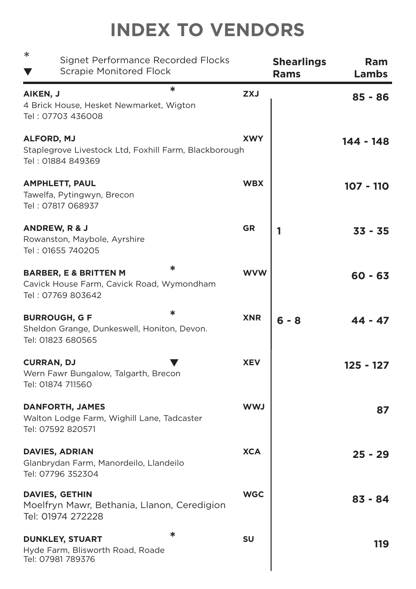# **INDEX TO VENDORS**

| $\ast$<br>Signet Performance Recorded Flocks<br><b>Scrapie Monitored Flock</b>                          |            | <b>Shearlings</b><br><b>Rams</b> | <b>Ram</b><br>Lambs |
|---------------------------------------------------------------------------------------------------------|------------|----------------------------------|---------------------|
| ∗<br>AIKEN, J<br>4 Brick House, Hesket Newmarket, Wigton<br>Tel: 07703 436008                           | <b>ZXJ</b> |                                  | 85 - 86             |
| <b>ALFORD, MJ</b><br>Staplegrove Livestock Ltd, Foxhill Farm, Blackborough<br>Tel: 01884 849369         | <b>XWY</b> |                                  | 144 - 148           |
| <b>AMPHLETT, PAUL</b><br>Tawelfa, Pytingwyn, Brecon<br>Tel: 07817 068937                                | <b>WBX</b> |                                  | 107 - 110           |
| ANDREW, R & J<br>Rowanston, Maybole, Ayrshire<br>Tel: 01655 740205                                      | <b>GR</b>  | 1                                | $33 - 35$           |
| ∗<br><b>BARBER, E &amp; BRITTEN M</b><br>Cavick House Farm, Cavick Road, Wymondham<br>Tel: 07769 803642 | <b>WVW</b> |                                  | $60 - 63$           |
| ∗<br><b>BURROUGH, G F</b><br>Sheldon Grange, Dunkeswell, Honiton, Devon.<br>Tel: 01823 680565           | <b>XNR</b> | 6 - 8                            | 44 - 47             |
| <b>CURRAN, DJ</b><br>Wern Fawr Bungalow, Talgarth, Brecon<br>Tel: 01874 711560                          | <b>XEV</b> |                                  | 125 - 127           |
| <b>DANFORTH, JAMES</b><br>Walton Lodge Farm, Wighill Lane, Tadcaster<br>Tel: 07592 820571               | <b>LWW</b> |                                  | 87                  |
| <b>DAVIES, ADRIAN</b><br>Glanbrydan Farm, Manordeilo, Llandeilo<br>Tel: 07796 352304                    | <b>XCA</b> |                                  | $25 - 29$           |
| DAVIES, GETHIN<br>Moelfryn Mawr, Bethania, Llanon, Ceredigion<br>Tel: 01974 272228                      | <b>WGC</b> |                                  | $83 - 84$           |
| ∗<br><b>DUNKLEY, STUART</b><br>Hyde Farm, Blisworth Road, Roade<br>Tel: 07981 789376                    | SU         |                                  | 119                 |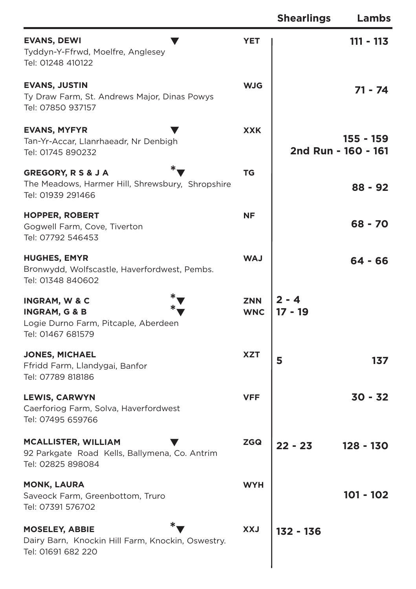|                                                                                                                   |                          | <b>Shearlings</b>    | Lambs                            |
|-------------------------------------------------------------------------------------------------------------------|--------------------------|----------------------|----------------------------------|
| <b>EVANS, DEWI</b><br>Tyddyn-Y-Ffrwd, Moelfre, Anglesey<br>Tel: 01248 410122                                      | <b>YET</b>               |                      | $111 - 113$                      |
| <b>EVANS, JUSTIN</b><br>Ty Draw Farm, St. Andrews Major, Dinas Powys<br>Tel: 07850 937157                         | <b>WJG</b>               |                      | 71 - 74                          |
| <b>EVANS, MYFYR</b><br>Tan-Yr-Accar, Llanrhaeadr, Nr Denbigh<br>Tel: 01745 890232                                 | <b>XXK</b>               |                      | 155 - 159<br>2nd Run - 160 - 161 |
| GREGORY, R S & J A<br>The Meadows, Harmer Hill, Shrewsbury, Shropshire<br>Tel: 01939 291466                       | ТG                       |                      | $88 - 92$                        |
| <b>HOPPER, ROBERT</b><br>Gogwell Farm, Cove, Tiverton<br>Tel: 07792 546453                                        | <b>NF</b>                |                      | 68 - 70                          |
| <b>HUGHES, EMYR</b><br>Bronwydd, Wolfscastle, Haverfordwest, Pembs.<br>Tel: 01348 840602                          | <b>WAJ</b>               |                      | 64 - 66                          |
| <b>INGRAM, W &amp; C</b><br><b>INGRAM, G &amp; B</b><br>Logie Durno Farm, Pitcaple, Aberdeen<br>Tel: 01467 681579 | <b>ZNN</b><br><b>WNC</b> | $2 - 4$<br>$17 - 19$ |                                  |
| <b>JONES, MICHAEL</b><br>Ffridd Farm, Llandygai, Banfor<br>Tel: 07789 818186                                      | <b>XZT</b>               | 5                    | 137                              |
| <b>LEWIS, CARWYN</b><br>Caerforiog Farm, Solva, Haverfordwest<br>Tel: 07495 659766                                | <b>VFF</b>               |                      | $30 - 32$                        |
| <b>MCALLISTER, WILLIAM</b><br>92 Parkgate Road Kells, Ballymena, Co. Antrim<br>Tel: 02825 898084                  | <b>ZGQ</b>               | $22 - 23$            | 128 - 130                        |
| <b>MONK, LAURA</b><br>Saveock Farm, Greenbottom, Truro<br>Tel: 07391 576702                                       | <b>WYH</b>               |                      | $101 - 102$                      |
| <b>MOSELEY, ABBIE</b><br>Dairy Barn, Knockin Hill Farm, Knockin, Oswestry.<br>Tel: 01691 682 220                  | <b>LXX</b>               | $132 - 136$          |                                  |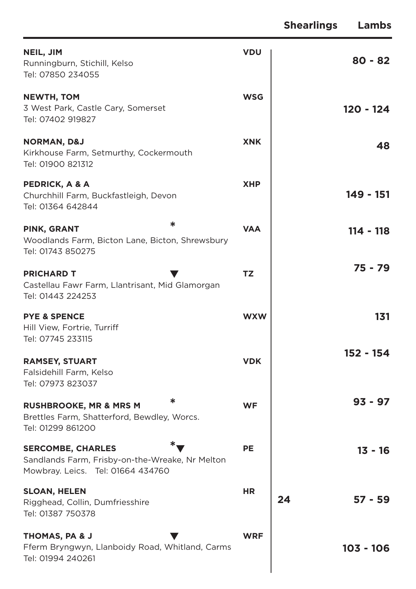|                                                                                                                  |            | <b>Shearlings</b><br>Lambs |
|------------------------------------------------------------------------------------------------------------------|------------|----------------------------|
| NEIL, JIM<br>Runningburn, Stichill, Kelso<br>Tel: 07850 234055                                                   | <b>VDU</b> | $80 - 82$                  |
| <b>NEWTH, TOM</b><br>3 West Park, Castle Cary, Somerset<br>Tel: 07402 919827                                     | <b>WSG</b> | 120 - 124                  |
| <b>NORMAN, D&amp;J</b><br>Kirkhouse Farm, Setmurthy, Cockermouth<br>Tel: 01900 821312                            | <b>XNK</b> | 48                         |
| PEDRICK, A & A<br>Churchhill Farm, Buckfastleigh, Devon<br>Tel: 01364 642844                                     | <b>XHP</b> | 149 - 151                  |
| ∗<br>PINK, GRANT<br>Woodlands Farm, Bicton Lane, Bicton, Shrewsbury<br>Tel: 01743 850275                         | <b>VAA</b> | 114 - 118                  |
| <b>PRICHARD T</b><br>Castellau Fawr Farm, Llantrisant, Mid Glamorgan<br>Tel: 01443 224253                        | <b>TZ</b>  | 75 - 79                    |
| <b>PYE &amp; SPENCE</b><br>Hill View, Fortrie, Turriff<br>Tel: 07745 233115                                      | <b>WXW</b> | 131                        |
| <b>RAMSEY, STUART</b><br>Falsidehill Farm, Kelso<br>Tel: 07973 823037                                            | <b>VDK</b> | 152 - 154                  |
| ∗<br><b>RUSHBROOKE, MR &amp; MRS M</b><br>Brettles Farm, Shatterford, Bewdley, Worcs.<br>Tel: 01299 861200       | <b>WF</b>  | $93 - 97$                  |
| <b>SERCOMBE, CHARLES</b><br>Sandlands Farm, Frisby-on-the-Wreake, Nr Melton<br>Mowbray. Leics. Tel: 01664 434760 | <b>PE</b>  | $13 - 16$                  |
| <b>SLOAN, HELEN</b><br>Rigghead, Collin, Dumfriesshire<br>Tel: 01387 750378                                      | <b>HR</b>  | 24<br>57 - 59              |
| THOMAS, PA & J<br>Fferm Bryngwyn, Llanboidy Road, Whitland, Carms<br>Tel: 01994 240261                           | <b>WRF</b> | $103 - 106$                |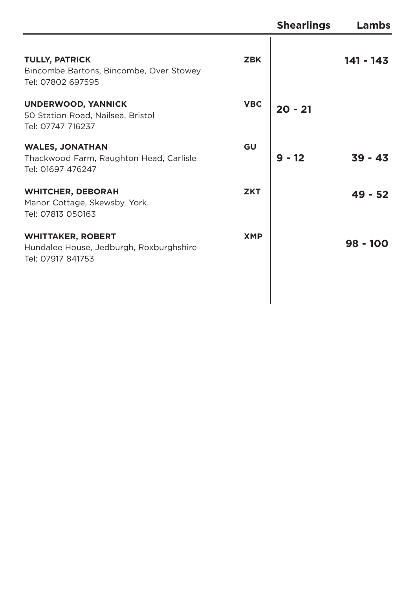|                                                                                          |            | <b>Shearlings</b> | Lambs     |
|------------------------------------------------------------------------------------------|------------|-------------------|-----------|
| <b>TULLY, PATRICK</b><br>Bincombe Bartons, Bincombe, Over Stowey<br>Tel: 07802 697595    | <b>ZBK</b> |                   | 141 - 143 |
| <b>UNDERWOOD, YANNICK</b><br>50 Station Road, Nailsea, Bristol<br>Tel: 07747 716237      | <b>VBC</b> | 20 - 21           |           |
| <b>WALES, JONATHAN</b><br>Thackwood Farm, Raughton Head, Carlisle<br>Tel: 01697 476247   | GU         | 12<br>9           | $39 - 43$ |
| <b>WHITCHER, DEBORAH</b><br>Manor Cottage, Skewsby, York.<br>Tel: 07813 050163           | <b>ZKT</b> |                   | $49 - 52$ |
| <b>WHITTAKER, ROBERT</b><br>Hundalee House, Jedburgh, Roxburghshire<br>Tel: 07917 841753 | <b>XMP</b> |                   | 98 - 100  |
|                                                                                          |            |                   |           |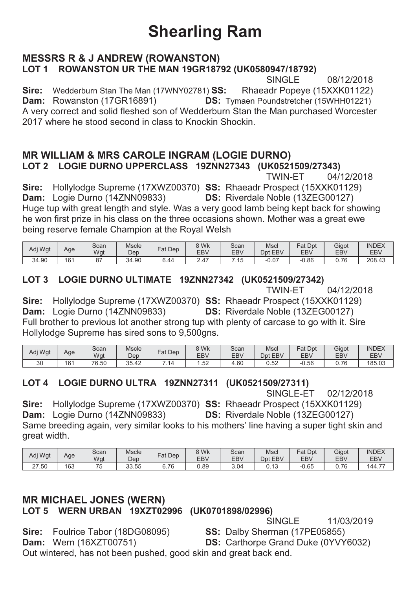# **Shearling Ram**

### **MESSRS R & J ANDREW (ROWANSTON)** LOT 1 ROWANSTON UR THE MAN 19GR18792 (UK0580947/18792)

SINGLE 08/12/2018 Sire: Wedderburn Stan The Man (17WNY02781) SS: Rhaeadr Popeye (15XXK01122) **Dam:** Rowanston (17GR16891) **DS:** Tymaen Poundstretcher (15WHH01221) A very correct and solid fleshed son of Wedderburn Stan the Man purchased Worcester 2017 where he stood second in class to Knockin Shockin.

### **MR WILLIAM & MRS CAROLE INGRAM (LOGIE DURNO)** LOT 2 LOGIE DURNO UPPERCLASS 19ZNN27343 (UK0521509/27343)

**TWIN-FT** 04/12/2018

Sire: Hollylodge Supreme (17XWZ00370) SS: Rhaeadr Prospect (15XXK01129) Dam: Logie Durno (14ZNN09833) **DS:** Riverdale Noble (13ZEG00127) Huge tup with great length and style. Was a very good lamb being kept back for showing he won first prize in his class on the three occasions shown. Mother was a great ewe being reserve female Champion at the Roval Welsh

| Adj Wgt | Age | Scan<br>Wgt       | <b>Mscle</b><br>Dep | Dep<br>∓at | 8 Wk<br>EB\ | Scan<br>EBV | Msci<br>EBV<br>Dpt | Dpt<br>$-1$<br>at<br><b>EBV</b> | Gigot<br>EB\ | <b>INDEX</b><br>EBV |
|---------|-----|-------------------|---------------------|------------|-------------|-------------|--------------------|---------------------------------|--------------|---------------------|
| 34.90   | 161 | $\sim$ $-$<br>ັບ، | 34.90               | c<br>6.44  | 2.47        | 15<br>. .   | $-0.07$            | 0.86                            | 0.76         | 208.43              |

### LOT 3 LOGIE DURNO ULTIMATE 19ZNN27342 (UK0521509/27342)

**TWIN-FT** 04/12/2018

Sire: Hollylodge Supreme (17XWZ00370) SS: Rhaeadr Prospect (15XXK01129) Dam: Logie Durno (14ZNN09833) DS: Riverdale Noble (13ZEG00127) Full brother to previous lot another strong tup with plenty of carcase to go with it. Sire Hollylodge Supreme has sired sons to 9.500gns.

| Adi Wat | Age | Scan<br>Wat | <b>Mscle</b><br>Dep | $=$ at<br>Dep | 8 Wk<br>EB\    | Scan<br><b>EBV</b> | Mscl<br>EBV<br>Dpt | Fat<br>Dpt<br><b>EBV</b> | Gigot<br>EB\ | <b>INDEX</b><br><b>EBV</b> |
|---------|-----|-------------|---------------------|---------------|----------------|--------------------|--------------------|--------------------------|--------------|----------------------------|
| 30      | 161 | 76.50       | っこ<br>35.42         | Δ             | $\sim$<br>ے بی | +.60               | 0.52               | $-0.56$                  | 7C<br>v. 70  | 185.03                     |

### LOT 4 LOGIE DURNO ULTRA 19ZNN27311 (UK0521509/27311)

SINGLE-ET 02/12/2018

Sire: Hollylodge Supreme (17XWZ00370) SS: Rhaeadr Prospect (15XXK01129) Dam: Logie Durno (14ZNN09833) **DS:** Riverdale Noble (13ZEG00127) Same breeding again, very similar looks to his mothers' line having a super tight skin and great width.

| Adj Wgt            | Age | Scan<br>Wgt | Mscle<br>Dep | $=$ at<br>Dep     | 8 Wk<br>EB\ | Scan<br><b>EBV</b> | Mscl<br><b>EBV</b><br>Dpt | Fat.<br>Dpt<br><b>EBV</b> | Gigot<br>EB\ | <b>INDEX</b><br><b>EBV</b> |
|--------------------|-----|-------------|--------------|-------------------|-------------|--------------------|---------------------------|---------------------------|--------------|----------------------------|
| .50<br>$\sim$<br>ے | 163 | $-$<br>- 11 | 33.55        | .76<br>ι.<br>ັ. ເ | 0.89        | 3.04               | $\overline{A}$<br>U. IJ   | $-0.65$                   | 7C<br>◡. ៸   | 144.1<br>---               |

### **MR MICHAEL JONES (WERN)** LOT 5 WERN URBAN 19XZT02996 (UK0701898/02996)

SINGLE 11/03/2019

Sire: Foulrice Tabor (18DG08095) **Dam:** Wern (16XZT00751)

SS: Dalby Sherman (17PE05855) **DS:** Carthorpe Grand Duke (0YVY6032)

Out wintered, has not been pushed, good skin and great back end.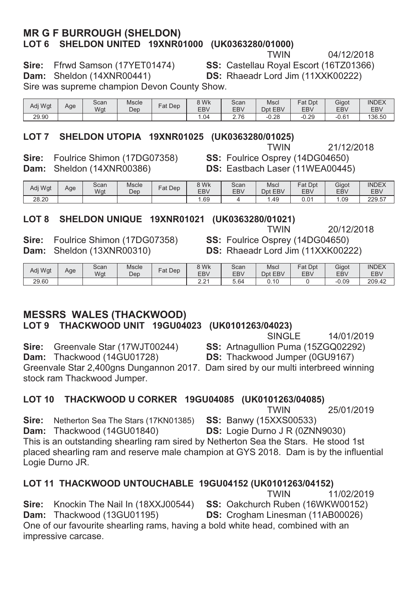### **MR G F BURROUGH (SHELDON) /DOT 6 SHELDON UNITED 19XNR01000 (UK0363280/01000)**<br>TWIN

21/12/2018

04/12/2018<br>Ffrwd Samson (17YET01474) SS: Castellau Roval Escort (16TZ01366) **Sire:** Ffrwd Samson (17YET01474) **SS:** Castellau Roval Escort (16TZ01366)

**Dam:** Sheldon (14XNR00441) **DS:** Rhaeadr Lord Jim (11XXK00222)

Sire was supreme champion Devon County Show.

Adi Wat Age Scan Wat Mscle<br>Den Fat Dep  $\begin{array}{|c|c|} \hline 8 & \text{Wk} \\ \hline \text{EBV} & \text{EBV} \\ \hline 1.04 & \text{B} \end{array}$ **EBV** Scan **EBV** Mscl Dpt EBV Fat Dpt EBV Gigot EB<sub>V</sub>  $IN$  $EX$ EBV 29.90 | | | | | | | 1.04 | 2.76 | -0.28 | -0.29 | -0.61 | 136.50

# **LOT 7 SHELDON UTOPIA 19XNR01025 (UK0363280/01025)**<br>TWIN

**Sire:** Foulrice Shimon (17DG07358) **SS:** Foulrice Osprey (14DG04650)<br>**Dam:** Sheldon (14XNR00386) **DS:** Eastbach Laser (11WEA00445 **Dam:** Sheldon (14XNR00386) **DS:** Eastbach Laser (11WEA00445)

| Adi Wat | Age | Scan<br>Wat | <b>Mscle</b><br>Dep | Fat<br>Dep | 8 Wk<br>EB <sub>V</sub> | Scan<br><b>EBV</b> | Mscl<br>EBV<br>Dpt | Fat<br>Dpt<br><b>EBV</b> | Gigot<br>EB <sub>V</sub> | <b>INDEX</b><br><b>EBV</b> |
|---------|-----|-------------|---------------------|------------|-------------------------|--------------------|--------------------|--------------------------|--------------------------|----------------------------|
| 28.20   |     |             |                     |            | . 69                    |                    | .49                | 0.01                     | .09                      | 229.57                     |

### LOT 8 SHELDON UNIQUE 19XNR01021 (UK0363280/01021)

**Sire:** Foulrice Shimon (17DG07358) **68:** Foulrice Osprey (14DG04650) **Dam:** Sheldon (13XNR00310) **55:** Rhaeadr Lord Jim (11XXK0022)

 $T$ WIN 20/12/2018 **DS:** Rhaeadr Lord Jim (11XXK00222)

**DS:** Thackwood Jumper (0GU9167)

| Adj Wgt | Age | Scan<br>Wat | Mscle<br>Dep | Dep<br>Fat | 8 Wk<br>EB <sub>V</sub> | Scan<br>EB\ | Mscl<br>Dpt EBV | Fat Dpt<br>EBV | Gigot<br>EB <sub>V</sub> | <b>INDEX</b><br><b>EBV</b> |
|---------|-----|-------------|--------------|------------|-------------------------|-------------|-----------------|----------------|--------------------------|----------------------------|
| 29.60   |     |             |              |            | $\sim$<br>ے.∠           | -64، ن      | .4C             |                | $-0.09$                  | 209.42                     |

### **MESSRS WALES (THACKWOOD)**

LOT 9 THACKWOOD UNIT 19GU04023 (UK0101263/04023)

**6,14/01/2019** SINGLE 14/01/2019

**Sire:** Greenvale Star (17WJT00244) **SS:** Artnagullion Puma (15ZGQ02292)<br>**Dam:** Thackwood (14GU01728) **DS:** Thackwood Jumper (0GU9167)

Greenvale Star 2,400gns Dungannon 2017. Dam sired by our multi interbreed winning stock ram Thackwood Jumper.

LOT 10 THACKWOOD U CORKER 19GU04085 (UK0101263/04085)

TWIN 25/01/2019<br>**SS:** Banwy (15XXS00533) **Sire:** Netherton Sea The Stars (17KN01385) **Dam:** Thackwood (14GU01840) **DS:** Logie Durno J R (0ZNN9030) This is an outstanding shearling ram sired by Netherton Sea the Stars. He stood 1st placed shearling ram and reserve male champion at GYS 2018. Dam is by the influential Logie Durno JR.

### LOT 11 THACKWOOD UNTOUCHABLE 19GU04152 (UK0101263/04152)

 $T$ WIN 11/02/2019 **Sire:** Knockin The Nail In (18XXJ00544) **SS:** Oakchurch Ruben (16WKW00152) **Dam:** Thackwood (13GU01195) **DS:** Crogham Linesman (11AB00026) One of our favourite shearling rams, having a bold white head, combined with an impressive carcase.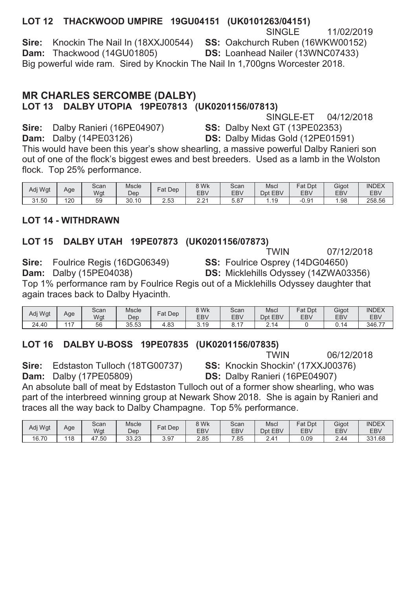### LOT 12 THACKWOOD UMPIRE 19GU04151 (UK0101263/04151)

SINGLE. 11/02/2019 Sire: Knockin The Nail In (18XXJ00544) SS: Oakchurch Ruben (16WKW00152) Dam: Thackwood (14GU01805) DS: Loanhead Nailer (13WNC07433) Big powerful wide ram. Sired by Knockin The Nail In 1,700gns Worcester 2018.

### **MR CHARLES SERCOMBE (DALBY)** LOT 13 DALBY UTOPIA 19PE07813 (UK0201156/07813)

SINGLE-ET 04/12/2018

Sire: Dalby Ranieri (16PE04907) **Dam:** Dalby (14PE03126)

**SS: Dalby Next GT (13PE02353) DS: Dalby Midas Gold (12PE01591)** 

This would have been this year's show shearling, a massive powerful Dalby Ranieri son out of one of the flock's biggest ewes and best breeders. Used as a lamb in the Wolston flock. Top 25% performance.

| Adi Wat | Age | Scan<br>Wgt | <b>Mscle</b><br>Dep | Fat<br>Dep        | 8 Wk<br>EB <sub>V</sub>         | Scan<br><b>EBV</b> | Msci<br>EBV<br>Dpt | Fat<br>Dpt<br><b>EBV</b> | Gigot<br>EB <sub>V</sub> | <b>INDEX</b><br><b>EBV</b> |
|---------|-----|-------------|---------------------|-------------------|---------------------------------|--------------------|--------------------|--------------------------|--------------------------|----------------------------|
| 31.50   | 120 | 59          | 30.10               | <b>EQ</b><br>ںں.ء | 0.04<br>$\epsilon$ . $\epsilon$ | 07<br>5.O          | AC                 | $-0.94$                  | . 98                     | 258.56                     |

### **I OT 14 - WITHDRAWN**

### LOT 15 DALBY UTAH 19PE07873 (UK0201156/07873)

**TWIN** 07/12/2018

Sire: Foulrice Regis (16DG06349) **Dam:** Dalby (15PE04038)

SS: Foulrice Osprey (14DG04650) DS: Micklehills Odyssey (14ZWA03356)

Top 1% performance ram by Foulrice Regis out of a Micklehills Odyssey daughter that again traces back to Dalby Hyacinth.

| Adj Wgt | Age    | Scan<br>Wgt | Mscle<br>Dep | Dep<br>Fat | 8 Wk<br>EB <sub>V</sub> | Scan<br><b>EBV</b> | Mscl<br>Dpt<br><b>EBV</b> | Fat Dpt<br><b>EBV</b> | Gigot<br>EB\ | <b>INDEX</b><br><b>EBV</b> |
|---------|--------|-------------|--------------|------------|-------------------------|--------------------|---------------------------|-----------------------|--------------|----------------------------|
| 24.40   | $AA =$ | 56          | 35.53        | ററ<br>4.ბა | 3.19                    | 0.1.               | $\overline{A}$            |                       |              | 346.77                     |

### LOT 16 DALBY U-BOSS 19PE07835 (UK0201156/07835)

**TWIN** 06/12/2018

Sire: Edstaston Tulloch (18TG00737) **Dam:** Dalby (17PE05809)

SS: Knockin Shockin' (17XXJ00376) DS: Dalby Ranieri (16PE04907)

An absolute ball of meat by Edstaston Tulloch out of a former show shearling, who was part of the interbreed winning group at Newark Show 2018. She is again by Ranieri and traces all the way back to Dalby Champagne. Top 5% performance.

| Adj Wgt | Age | Scan<br>Wgt | <b>Mscle</b><br>Dep         | Dep<br>$at$ | <b>9 Wk</b><br><b>EBV</b> | Scan<br><b>EBV</b> | Mscl<br><b>EBV</b><br>Dpt | Fat Dpt<br><b>EBV</b> | Gigot<br>EB\ | <b>INDEX</b><br><b>EBV</b> |
|---------|-----|-------------|-----------------------------|-------------|---------------------------|--------------------|---------------------------|-----------------------|--------------|----------------------------|
| 16.70   | 18  | .50<br>Δ.   | $\Omega$<br>$\sim$<br>33.ZJ | 3.97        | 2.85                      | .85                | ᅭ<br><u>. . – </u>        | 0.09                  | 2.44         | 331.68                     |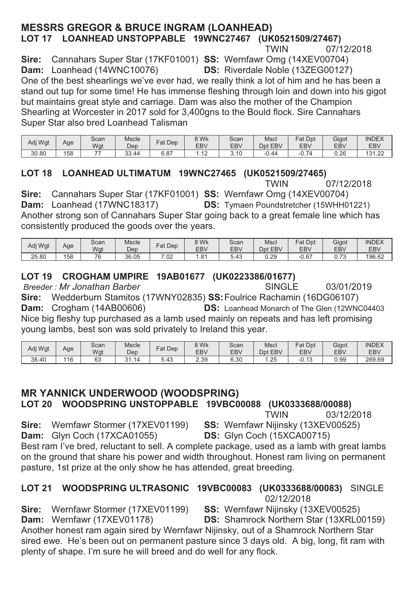### **MESSRS GREGOR & BRUCE INGRAM (LOANHEAD)** LOT 17 LOANHEAD UNSTOPPABLE 19WNC27467 (UK0521509/27467)

07/12/2018 **TWIN** 

Sire: Cannahars Super Star (17KF01001) SS: Wernfawr Omg (14XEV00704) Dam: Loanhead (14WNC10076) **DS:** Riverdale Noble (13ZEG00127)

One of the best shearlings we've ever had, we really think a lot of him and he has been a stand out tup for some time! He has immense fleshing through loin and down into his gigot but maintains great style and carriage. Dam was also the mother of the Champion Shearling at Worcester in 2017 sold for 3.400gns to the Bould flock. Sire Cannahars Super Star also bred Loanhead Talisman

| Adj Wgt         | Age | Scan<br>Wgt | Mscle<br>Dep    | $F$ at Dep     | 8 Wk<br><b>EBV</b> | Scan<br><b>EBV</b> | Mscl<br>EBV<br>Dpt | Fat Dpt<br><b>EBV</b> | Gigot<br>EB\ | <b>INDEX</b><br>EB <sub>V</sub> |
|-----------------|-----|-------------|-----------------|----------------|--------------------|--------------------|--------------------|-----------------------|--------------|---------------------------------|
| $\sim$<br>30.80 | 158 | --          | $\sim$<br>33.44 | $\sim$<br>0.ŏ1 | .                  | 3.10               | $-0.44$            | 74<br>$-U.1$          | 0.26         | 121<br>$\sim$<br>I J I . 44     |

### LOT 18 LOANHEAD ULTIMATUM 19WNC27465 (UK0521509/27465)

**TWIN** 07/12/2018

Sire: Cannahars Super Star (17KF01001) SS: Wernfawr Omg (14XEV00704) Dam: Loanhead (17WNC18317) **DS:** Tymaen Poundstretcher (15WHH01221) Another strong son of Cannahars Super Star going back to a great female line which has consistently produced the goods over the years.

| Adi Wat | Age | Scan<br>Wat | Mscle<br>Dep | Dep<br>Fat    | 8 Wk<br>EB\  | Scan<br><b>EBV</b> | Mscl<br>Dpt<br>EBV | Fat Dpt<br>EBV         | Gigot<br>EB\           | <b>INDEX</b><br><b>EBV</b> |
|---------|-----|-------------|--------------|---------------|--------------|--------------------|--------------------|------------------------|------------------------|----------------------------|
| 25.80   | 158 | 76          | 36.05        | $\cap$<br>.UZ | $.8^{\cdot}$ | 5.43               | ററ<br>∪.∠ສ         | C <sub>7</sub><br>U.O. | $\overline{z}$<br>∪.≀∪ | 196.62                     |

### LOT 19 CROGHAM UMPIRE 19AB01677 (UK0223386/01677)

Breeder: Mr Jonathan Barber

**SINGLE** 03/01/2019

Sire: Wedderburn Stamitos (17WNY02835) SS: Foulrice Rachamin (16DG06107) **Dam:** Crogham (14AB00606) **DS:** Loanhead Monarch of The Glen (12WNC04403) Nice big fleshy tup purchased as a lamb used mainly on repeats and has left promising young lambs, best son was sold privately to Ireland this year.

| Adj Wgt | Aae | Scan<br>Wgt  | <b>Mscle</b><br>Dep    | Dep<br>$at$ . | 8 Wk<br>EBV | Scan<br><b>EBV</b> | Mscl<br>Dpt<br><b>EBV</b> | Fat<br>Dpt<br><b>EBV</b>        | Gigot<br>EB <sub>V</sub> | <b>INDEX</b><br><b>EBV</b> |
|---------|-----|--------------|------------------------|---------------|-------------|--------------------|---------------------------|---------------------------------|--------------------------|----------------------------|
| 38.40   | 116 | $\sim$<br>οc | $\sim$ $\lambda$<br>14 | 5.43          | C C<br>2.ບປ | 6.30               | .25                       | $\Lambda$ $\Omega$<br>−∪.<br>Ιv | 0.99                     | 269.69                     |

### **MR YANNICK UNDERWOOD (WOODSPRING)**

LOT 20 WOODSPRING UNSTOPPABLE 19VBC00088 (UK0333688/00088)

**TWIN** 03/12/2018

Sire: Wernfawr Stormer (17XEV01199)

Dam: Glyn Coch (17XCA01055)

SS: Wernfawr Nijinsky (13XEV00525) DS: Glyn Coch (15XCA00715)

Best ram I've bred, reluctant to sell. A complete package, used as a lamb with great lambs on the ground that share his power and width throughout. Honest ram living on permanent pasture. 1st prize at the only show he has attended, great breeding.

#### LOT 21 WOODSPRING ULTRASONIC 19VBC00083 (UK0333688/00083) SINGLE 02/12/2018

Sire: Wernfawr Stormer (17XEV01199) SS: Wernfawr Nijinsky (13XEV00525) Dam: Wernfawr (17XEV01178) **DS:** Shamrock Northern Star (13XRL00159) Another honest ram again sired by Wernfawr Nijinsky, out of a Shamrock Northern Star sired ewe. He's been out on permanent pasture since 3 days old. A big, long, fit ram with plenty of shape. I'm sure he will breed and do well for any flock.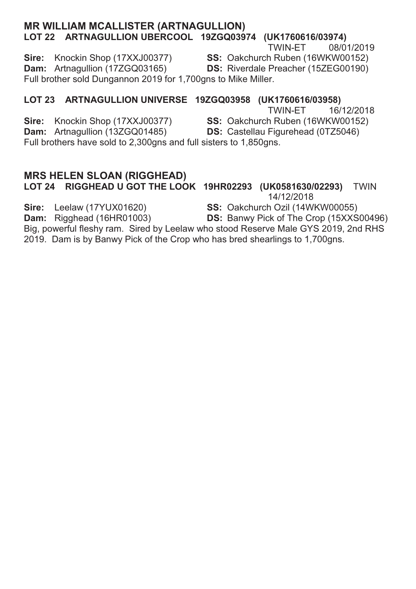#### **MR WILLIAM MCALLISTER (ARTNAGULLION)** LOT 22 ARTNAGULLION UBERCOOL 19ZGQ03974 (UK1760616/03974)

#### **TWIN-ET** 08/01/2019

SS: Oakchurch Ruben (16WKW00152)

Sire: Knockin Shop (17XXJ00377) Dam: Artnagullion (17ZGQ03165) **DS:** Riverdale Preacher (15ZEG00190) Full brother sold Dungannon 2019 for 1,700gns to Mike Miller.

### LOT 23 ARTNAGULLION UNIVERSE 19ZGQ03958 (UK1760616/03958)

TWIN-FT 16/12/2018

SS: Oakchurch Ruben (16WKW00152)

DS: Castellau Figurehead (0TZ5046)

Dam: Artnagullion (13ZGQ01485) Full brothers have sold to 2,300gns and full sisters to 1,850gns.

### **MRS HELEN SLOAN (RIGGHEAD)**

Sire: Knockin Shop (17XXJ00377)

#### LOT 24 RIGGHEAD U GOT THE LOOK 19HR02293 (UK0581630/02293) TWIN 14/12/2018

SS: Oakchurch Ozil (14WKW00055)

Sire: Leelaw (17YUX01620) Dam: Rigghead (16HR01003)

**DS:** Banwy Pick of The Crop (15XXS00496)

Big, powerful fleshy ram. Sired by Leelaw who stood Reserve Male GYS 2019, 2nd RHS 2019. Dam is by Banwy Pick of the Crop who has bred shearlings to 1,700gns.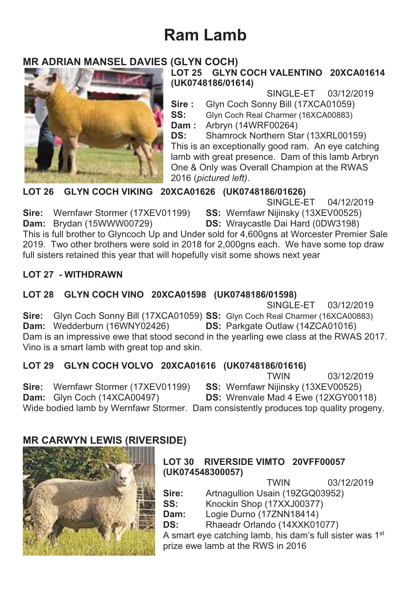## **Ram Lamb**

### **MR ADRIAN MANSEL DAVIES (GLYN COCH)**



### LOT 25 GLYN COCH VALENTINO 20XCA01614 (UK0748186/01614)

SINGLE-ET 03/12/2019

Sire: Glyn Coch Sonny Bill (17XCA01059)

 $SS:$ Glyn Coch Real Charmer (16XCA00883)

**Dam:** Arbryn (14WRF00264)

DS: Shamrock Northern Star (13XRL00159) This is an exceptionally good ram. An eye catching lamb with great presence. Dam of this lamb Arbryn One & Only was Overall Champion at the RWAS 2016 (pictured left).

LOT 26 GLYN COCH VIKING 20XCA01626 (UK0748186/01626)

SINGLE-FT 04/12/2019

Sire: Wernfawr Stormer (17XEV01199) SS: Wernfawr Nijinsky (13XEV00525) Dam: Brydan (15WWW00729)

**DS:** Wraycastle Dai Hard (0DW3198)

This is full brother to Glyncoch Up and Under sold for 4.600ans at Worcester Premier Sale 2019. Two other brothers were sold in 2018 for 2.000ans each. We have some top draw full sisters retained this year that will hopefully visit some shows next year

### **LOT 27 - WITHDRAWN**

### LOT 28 GLYN COCH VINO 20XCA01598 (UK0748186/01598)

SINGLE-ET 03/12/2019 Sire: Glyn Coch Sonny Bill (17XCA01059) SS: Glyn Coch Real Charmer (16XCA00883) Dam: Wedderburn (16WNY02426) DS: Parkgate Outlaw (14ZCA01016) Dam is an impressive ewe that stood second in the yearling ewe class at the RWAS 2017. Vino is a smart lamb with great top and skin.

### LOT 29 GLYN COCH VOLVO 20XCA01616 (UK0748186/01616)

**TWIN** 03/12/2019

Sire: Wernfawr Stormer (17XEV01199) SS: Wernfawr Nijinsky (13XEV00525) DS: Wrenvale Mad 4 Ewe (12XGY00118) Dam: Glyn Coch (14XCA00497) Wide bodied lamb by Wernfawr Stormer. Dam consistently produces top quality progeny.

### **MR CARWYN LEWIS (RIVERSIDE)**



### LOT 30 RIVERSIDE VIMTO 20VFF00057 (UK074548300057)

**TWIN** 03/12/2019 Artnagullion Usain (19ZGQ03952) Sire:  $SS:$ Knockin Shop (17XXJ00377) Dam: Logie Durno (17ZNN18414) DS: Rhaeadr Orlando (14XXK01077) A smart eye catching lamb, his dam's full sister was 1<sup>st</sup> prize ewe lamb at the RWS in 2016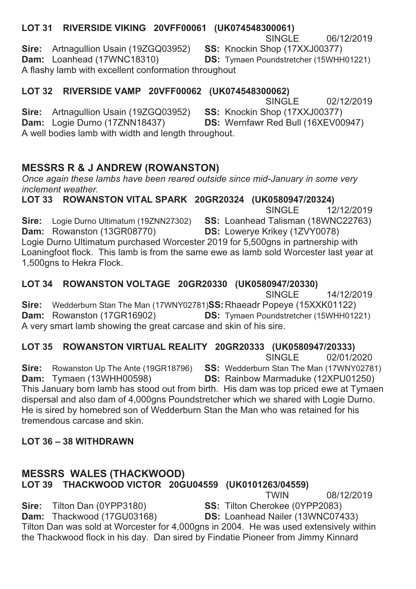#### LOT 31 RIVERSIDE VIKING 20VFF00061 (UK074548300061)<br>SINGLE  $SINGLE$  06/12/2019 **Sire:** Artnagullion Usain (19ZGQ03952) **SS:** Knockin Shop (17XXJ00377) **Dam:** Loanhead (17WNC18310) **DS:** Tymaen Poundstretcher (15WHH **DS:** Tymaen Poundstretcher (15WHH01221) A flashy lamb with excellent conformation throughout

# **/LOT 32 RIVERSIDE VAMP 20VFF00062 (UK074548300062)**<br>SINGLE

 $SINGLE$  02/12/2019 **Sire:** Artnagullion Usain (19ZGQ03952) **SS:** Knockin Shop (17XXJ00377) **Dam:** Logie Durno (17ZNN18437) **DS:** Wernfawr Red Bull (16XEV00 **DS: Wernfawr Red Bull (16XEV00947)** A well bodies lamb with width and length throughout.

### **MESSRS R & J ANDREW (ROWANSTON)**

*Once again these lambs have been reared outside since mid-January in some very inclement weather.* 

LOT 33 ROWANSTON VITAL SPARK 20GR20324 (UK0580947/20324) SINGLE 12/12/2019 **Sire:** Logie Durno Ultimatum (19ZNN27302) **SS:** Loanhead Talisman (18WNC22763) **Dam:** Rowanston (13GR08770) **DS:** Lowerve Krikev (1ZVY0078) **DS:** Lowerve Krikey (1ZVY0078) Logie Durno Ultimatum purchased Worcester 2019 for 5,500gns in partnership with Loaningfoot flock. This lamb is from the same ewe as lamb sold Worcester last year at 1,500gns to Hekra Flock.

## **/LOT 34 ROWANSTON VOLTAGE 20GR20330 (UK0580947/20330)**<br>SINGLE

For the SINGLE 14/12/2019

**Sire:** Wedderburn Stan The Man (17WNY02781)**SS:** Rhaeadr Popeye (15XXK01122)<br>**Dam:** Rowanston (17GR16902) **DS:** Tymaen Poundstretcher (15WHH012 **DS:** Tymaen Poundstretcher (15WHH01221) A very smart lamb showing the great carcase and skin of his sire.

# **/1753 ROWANSTON VIRTUAL REALITY 20GR20333 (UK0580947/20333)<br>SINGLE 02/01/2020**

for the state of the SINGLE to 2/01/2020 **Sire:** Rowanston Up The Ante (19GR18796) **SS:** Wedderburn Stan The Man (17WNY02781) **Dam: Dyametry Comment Comment Comment Comment Comment Comment Comment Comment Comment Comment Comment Comment Comment Comment Comment DS:** Rainbow Marmaduke (12XPU01250) This January born lamb has stood out from birth. His dam was top priced ewe at Tymaen dispersal and also dam of 4,000gns Poundstretcher which we shared with Logie Durno. He is sired by homebred son of Wedderburn Stan the Man who was retained for his tremendous carcase and skin

### **LOT 36 - 38 WITHDRAWN**

### **MESSRS WALES (THACKWOOD) LOT 39 THACKWOOD VICTOR 20GU04559 (UK0101263/04559)**<br>TWIN  $TWHN$  08/12/2019

**Sire:** Tilton Dan (0YPP3180) **65:** Tilton Cherokee (0YPP2083)<br>**Dam:** Thackwood (17GU03168) **5:** Loanhead Nailer (13WNC074 **DS:** Loanhead Nailer (13WNC07433) Tilton Dan was sold at Worcester for 4,000gns in 2004. He was used extensively within the Thackwood flock in his day. Dan sired by Findatie Pioneer from Jimmy Kinnard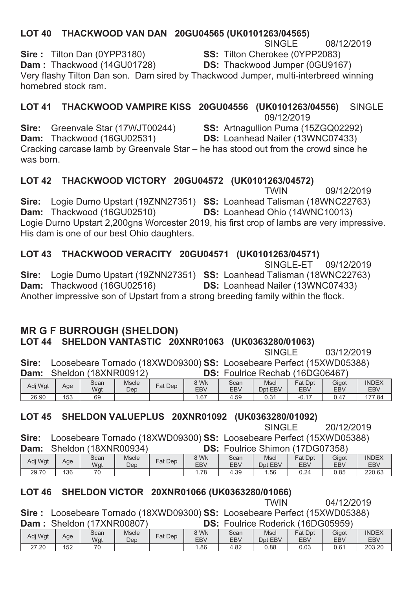### LOT 40 THACKWOOD VAN DAN 20GU04565 (UK0101263/04565)

**SINGLE** 08/12/2019

SS: Tilton Cherokee (0YPP2083)

**Dam**: Thackwood (14GU01728) **DS:** Thackwood Jumper (0GU9167)

Very flashy Tilton Dan son. Dam sired by Thackwood Jumper, multi-interbreed winning homebred stock ram

LOT 41 THACKWOOD VAMPIRE KISS 20GU04556 (UK0101263/04556) SINGLE<sup></sup>

09/12/2019

**SS:** Artnagullion Puma (15ZGQ02292)

Sire: Greenvale Star (17WJT00244) Dam: Thackwood (16GU02531)

Sire: Tilton Dan (0YPP3180)

**DS:** Loanhead Nailer (13WNC07433)

Cracking carcase lamb by Greenvale Star - he has stood out from the crowd since he  $was$  horn

### LOT 42 THACKWOOD VICTORY 20GU04572 (UK0101263/04572)

**TWIN** 09/12/2019 Sire: Logie Durno Upstart (19ZNN27351) SS: Loanhead Talisman (18WNC22763) Dam: Thackwood (16GU02510) DS: Loanhead Ohio (14WNC10013) Logie Durno Upstart 2,200gns Worcester 2019, his first crop of lambs are very impressive. His dam is one of our best Ohio daughters.

### LOT 43 THACKWOOD VERACITY 20GU04571 (UK0101263/04571)

SINGLE-ET 09/12/2019 Sire: Logie Durno Upstart (19ZNN27351) SS: Loanhead Talisman (18WNC22763) Dam: Thackwood (16GU02516) DS: Loanhead Nailer (13WNC07433) Another impressive son of Upstart from a strong breeding family within the flock.

#### **MR G F BURROUGH (SHELDON)** LOT 44 SHELDON VANTASTIC 20XNR01063 (UK0363280/01063)

**SINGLE** 03/12/2019

Sire: Loosebeare Tornado (18XWD09300) SS: Loosebeare Perfect (15XWD05388)  $\overline{u}$  $O(\log n)$ 

| Dam:    |     | Sheidon (18XNR00912) |                     |         | DS:                |                    | Fouirice Rechab (16DG06467) |                       |              |                     |
|---------|-----|----------------------|---------------------|---------|--------------------|--------------------|-----------------------------|-----------------------|--------------|---------------------|
| Adj Wgt | Age | Scan<br>Wgt          | <b>Mscle</b><br>Dep | Fat Dep | 8 Wk<br><b>EBV</b> | Scan<br><b>EBV</b> | Mscl<br>Dpt EBV             | <b>Fat Dpt</b><br>EBV | Gigot<br>EBV | <b>INDEX</b><br>EBV |
| 26.90   | 153 | 69                   |                     |         | .67                | 4.59               | 0.31                        | $-0.17$               | 0.47         | 177.84              |

### LOT 45 SHELDON VALUEPLUS 20XNR01092 (UK0363280/01092)

**SINGLE** 20/12/2019

Sire: Loosebeare Tornado (18XWD09300) SS: Loosebeare Perfect (15XWD05388) Dam: Sheldon (18XNR00934) DS: Foulrice Shimon (17DG07358)

| -------- | _ _ . _ . _ |      | .     |            | ---        | --------- | _ _               | ----       | ---        |              |
|----------|-------------|------|-------|------------|------------|-----------|-------------------|------------|------------|--------------|
| Adi Wat  | Age         | Scan | Mscle | $F$ at Dep | 8 Wk       | Scan      | Mscl              | Fat<br>Dpt | Gigot      | <b>INDEX</b> |
|          |             | Wgt  | Dep   |            | <b>EBV</b> | EBV       | Dpt<br><b>EBV</b> | <b>EBV</b> | <b>EBV</b> | <b>EBV</b>   |
| 29.70    | 136         | 70   |       |            | 70<br>.    | $+.39$    | .56               | 0.24       | 0.85       | 220.63       |
|          |             |      |       |            |            |           |                   |            |            |              |

### LOT 46 SHELDON VICTOR 20XNR01066 (UK0363280/01066)

**TWIN** 04/12/2019

Sire: Loosebeare Tornado (18XWD09300) SS: Loosebeare Perfect (15XWD05388) Dam: Sheldon (17XNR00807) **DS: Foulrice Roderick (16DG05959)** 

| Adj Wgt            | Age | Scan<br>Wgt | <b>Mscle</b><br>Dep | Fat Dep | 8 Wk<br>EBV | Scan<br><b>EBV</b> | <b>Mscl</b><br>Dpt EBV | Fat Dpt<br>EB\ | Gigot<br>EB\  | <b>INDEX</b><br>EBV |
|--------------------|-----|-------------|---------------------|---------|-------------|--------------------|------------------------|----------------|---------------|---------------------|
| .20<br>$\sim$<br>ے | 152 | 70          |                     |         | .86         | ററ<br>∔.ŏ∠         | 0.88                   | 0.03           | $0.6^{\circ}$ | 203.20              |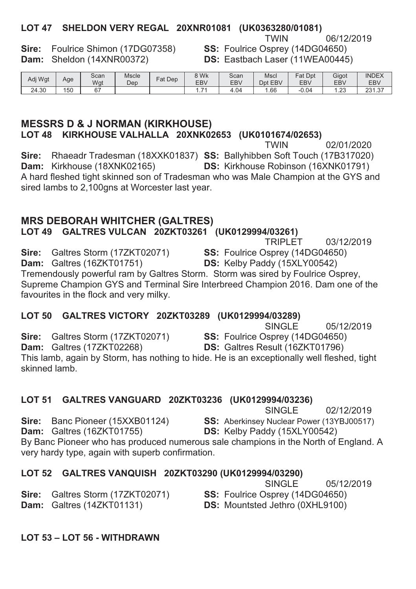### LOT 47 SHELDON VERY REGAL 20XNR01081 (UK0363280/01081)

Sire: Foulrice Shimon (17DG07358) Dam: Sheldon (14XNR00372)

06/12/2019 SS: Foulrice Osprey (14DG04650) DS: Eastbach Laser (11WEA00445)

| Adi Wat | Age | Scan<br>Wgt    | <b>Mscle</b><br>Dep | $F$ at Dep | 8 Wk<br><b>EBV</b> | Scan<br><b>EBV</b> | Mscl<br><b>EBV</b><br>Dnt | Fat Dpt<br><b>EBV</b> | Gigot<br>EB\  | <b>INDEX</b><br><b>EBV</b> |
|---------|-----|----------------|---------------------|------------|--------------------|--------------------|---------------------------|-----------------------|---------------|----------------------------|
| 24.30   | 150 | C <sub>7</sub> |                     |            | $\sim$<br>.        | 4.04               | .66                       | $-0.04$               | $\sim$<br>ت ک | つつイ<br>$\sim$<br>، د. ۱ دے |

#### **MESSRS D & J NORMAN (KIRKHOUSE)** LOT 48 KIRKHOUSE VALHALLA 20XNK02653 (UK0101674/02653)

02/01/2020 Sire: Rhaeadr Tradesman (18XXK01837) SS: Ballyhibben Soft Touch (17B317020) Dam: Kirkhouse (18XNK02165) **DS: Kirkhouse Robinson (16XNK01791)** A hard fleshed tight skinned son of Tradesman who was Male Champion at the GYS and sired lambs to 2,100gns at Worcester last year.

### **MRS DEBORAH WHITCHER (GALTRES)**

LOT 49 GALTRES VULCAN 20ZKT03261 (UK0129994/03261)

### LOT 50 GALTRES VICTORY 20ZKT03289 (UK0129994/03289)

SINGLE 05/12/2019 Sire: Galtres Storm (17ZKT02071) **SS:** Foulrice Osprey (14DG04650) Dam: Galtres (17ZKT02268) DS: Galtres Result (16ZKT01796) This lamb, again by Storm, has nothing to hide. He is an exceptionally well fleshed, tight skinned lamb.

#### LOT 51 GALTRES VANGUARD 20ZKT03236 (UK0129994/03236)

SINGLE 02/12/2019 Sire: Banc Pioneer (15XXB01124) SS: Aberkinsey Nuclear Power (13YBJ00517) Dam: Galtres (16ZKT01755) DS: Kelby Paddy (15XLY00542) By Banc Pioneer who has produced numerous sale champions in the North of England. A very hardy type, again with superb confirmation.

#### LOT 52 GALTRES VANQUISH 20ZKT03290 (UK0129994/03290)  $O(N)$

|                                         | 05/12/2019<br>SINGLE                   |
|-----------------------------------------|----------------------------------------|
| <b>Sire:</b> Galtres Storm (17ZKT02071) | <b>SS:</b> Foulrice Osprey (14DG04650) |
| <b>Dam:</b> Galtres (14ZKT01131)        | <b>DS:</b> Mountsted Jethro (0XHL9100) |
|                                         |                                        |

LOT 53 - LOT 56 - WITHDRAWN

**TRIPLET** 03/12/2019 Sire: Galtres Storm (17ZKT02071) SS: Foulrice Osprey (14DG04650) Dam: Galtres (16ZKT01751) DS: Kelby Paddy (15XLY00542) Tremendously powerful ram by Galtres Storm. Storm was sired by Foulrice Osprey. Supreme Champion GYS and Terminal Sire Interbreed Champion 2016. Dam one of the favourites in the flock and very milky.

## **TWIN**

**TWIN**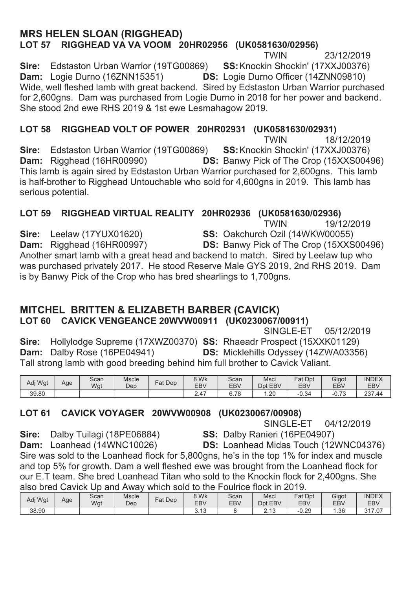### **MRS HELEN SLOAN (RIGGHEAD)** LOT 57 RIGGHEAD VA VA VOOM 20HR02956 (UK0581630/02956)

**TWIN** 23/12/2019 Sire: Edstaston Urban Warrior (19TG00869) SS: Knockin Shockin' (17XXJ00376) Dam: Logie Durno (16ZNN15351) DS: Logie Durno Officer (14ZNN09810) Wide, well fleshed lamb with great backend. Sired by Edstaston Urban Warrior purchased for 2.600gns. Dam was purchased from Logie Durno in 2018 for her power and backend. She stood 2nd ewe RHS 2019 & 1st ewe Lesmahagow 2019.

### LOT 58 RIGGHEAD VOLT OF POWER 20HR02931 (UK0581630/02931)

**TWIN** 18/12/2019 Sire: Edstaston Urban Warrior (19TG00869) SS: Knockin Shockin' (17XXJ00376) Dam: Rigghead (16HR00990) DS: Banwy Pick of The Crop (15XXS00496) This lamb is again sired by Edstaston Urban Warrior purchased for 2,600gns. This lamb is half-brother to Rigghead Untouchable who sold for 4,600gns in 2019. This lamb has serious potential.

#### LOT 59 RIGGHEAD VIRTUAL REALITY 20HR02936 (UK0581630/02936) **TWIN** 19/12/2019

Sire: Leelaw (17YUX01620)

Dam: Rigghead (16HR00997)

SS: Oakchurch Ozil (14WKW00055) DS: Banwy Pick of The Crop (15XXS00496)

Another smart lamb with a great head and backend to match. Sired by Leelaw tup who was purchased privately 2017. He stood Reserve Male GYS 2019, 2nd RHS 2019. Dam is by Banwy Pick of the Crop who has bred shearlings to 1.700gns.

### MITCHEL BRITTEN & ELIZABETH BARBER (CAVICK) LOT 60 CAVICK VENGEANCE 20WVW00911 (UK0230067/00911)

SINGLE-ET 05/12/2019 Sire: Hollylodge Supreme (17XWZ00370) SS: Rhaeadr Prospect (15XXK01129) Dam: Dalby Rose (16PE04941) **DS:** Micklehills Odyssey (14ZWA03356) Tall strong lamb with good breeding behind him full brother to Cavick Valiant.

| Adj Wgt | Age | Scan<br>Wat | <b>Mscle</b><br>Dep | Fat<br>Dep | 8 Wk<br>EB <sub>V</sub> | Scan<br>EBV   | Mscl<br>EBV<br>Dpt | Fat<br>Dpt<br><b>EBV</b> | Gigot<br>EB <sub>V</sub>        | <b>INDEX</b><br><b>EBV</b> |
|---------|-----|-------------|---------------------|------------|-------------------------|---------------|--------------------|--------------------------|---------------------------------|----------------------------|
| 39.80   |     |             |                     |            | 2.47                    | 70<br>e.<br>ັ | . .20              | $\sim$<br>-0.34          | $\overline{70}$<br>$-U_{\star}$ | 237.44                     |

### LOT 61 CAVICK VOYAGER 20WVW00908 (UK0230067/00908)

SINGLE-ET 04/12/2019

Sire: Dalby Tuilagi (18PE06884)

SS: Dalby Ranieri (16PE04907) **DS:** Loanhead Midas Touch (12WNC04376)

Dam: Loanhead (14WNC10026) Sire was sold to the Loanhead flock for 5,800gns, he's in the top 1% for index and muscle and top 5% for growth. Dam a well fleshed ewe was brought from the Loanhead flock for our E.T team. She bred Loanhead Titan who sold to the Knockin flock for 2.400gns. She also bred Cavick Up and Away which sold to the Foulrice flock in 2019.

| Adj Wgt | Age | Scan<br>Wgt | <b>Mscle</b><br>Dep | $F$ at Dep | 8 Wk<br><b>EBV</b>       | Scan<br><b>EBV</b> | Msci<br>EBV<br>Dpt             | Fat<br>Dpt<br><b>EBV</b> | Gigot<br>EB <sub>V</sub> | <b>INDEX</b><br><b>EBV</b> |
|---------|-----|-------------|---------------------|------------|--------------------------|--------------------|--------------------------------|--------------------------|--------------------------|----------------------------|
| 38.90   |     |             |                     |            | $\overline{A}$<br>ن ا رب |                    | $\sim$<br>$\Lambda$<br>د . ا ب | $-0.29$                  | . .36                    | 317.07                     |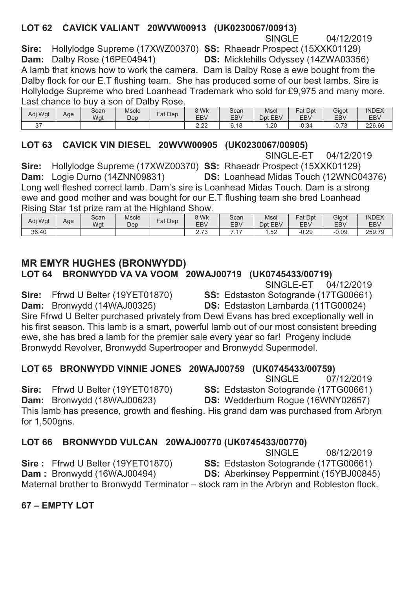### LOT 62 CAVICK VALIANT 20WVW00913 (UK0230067/00913)

SINGLE 04/12/2019

Sire: Hollylodge Supreme (17XWZ00370) SS: Rhaeadr Prospect (15XXK01129) Dam: Dalby Rose (16PE04941) DS: Micklehills Odyssey (14ZWA03356) A lamb that knows how to work the camera. Dam is Dalby Rose a ewe bought from the Dalby flock for our E.T flushing team. She has produced some of our best lambs. Sire is

Hollylodge Supreme who bred Loanhead Trademark who sold for £9,975 and many more. Last chance to buy a son of Dalby Rose.

| Adi Wat     | Age | Scan<br>Wat | <b>Mscle</b><br>Dep | Fat<br>Dep | 8 Wk<br><b>EBV</b> | Scan<br><b>EBV</b>          | Mscl<br><b>EBV</b><br>Dpt | Dpt<br>Fat<br>EBV | Gigot<br>EB\                   | <b>INDEX</b><br><b>EBV</b> |
|-------------|-----|-------------|---------------------|------------|--------------------|-----------------------------|---------------------------|-------------------|--------------------------------|----------------------------|
| $\sim$<br>ັ |     |             |                     |            | 0.00<br>L.LL       | $\triangle$<br>. .<br>∪. ı∪ | . .20                     | $\sim$<br>-0.34   | $\overline{\phantom{0}}$<br>U. | 226.66                     |

### LOT 63 CAVICK VIN DIESEL 20WVW00905 (UK0230067/00905)

SINGLE-FT 04/12/2019 Sire: Hollylodge Supreme (17XWZ00370) SS: Rhaeadr Prospect (15XXK01129) Dam: Logie Durno (14ZNN09831) **DS:** Loanhead Midas Touch (12WNC04376) Long well fleshed correct lamb. Dam's sire is Loanhead Midas Touch. Dam is a strong ewe and good mother and was bought for our E.T flushing team she bred Loanhead Rising Star 1st prize ram at the Highland Show

| Adj Wgt | Age | Scan<br>Wgt | Mscle<br>Dep | $=$ at<br>Dep | 8 Wk<br><b>EBV</b>        | Scan<br><b>EBV</b> | Mscl<br>EBV<br>Dpt | Dpt<br>$=$ at<br><b>EBV</b> | Gigot<br><b>EBV</b> | <b>INDEX</b><br><b>EBV</b> |
|---------|-----|-------------|--------------|---------------|---------------------------|--------------------|--------------------|-----------------------------|---------------------|----------------------------|
| 36.40   |     |             |              |               | $\overline{2}$<br>ن ، ، ک |                    | . 52               | $-0.29$                     | $-0.09$             | 259.79                     |

### **MR EMYR HUGHES (BRONWYDD)**

Sire: Ffrwd U Belter (19YET01870)

Sire: Ffrwd U Belter (19YET01870)

Sire: Ffrwd U Belter (19YET01870)

LOT 64 BRONWYDD VA VA VOOM 20WAJ00719 (UK0745433/00719)

SINGLE-FT 04/12/2019

SS: Edstaston Sotogrande (17TG00661)

DS: Edstaston Lambarda (11TG00024)

Dam: Bronwydd (14WAJ00325) Sire Ffrwd U Belter purchased privately from Dewi Evans has bred exceptionally well in his first season. This lamb is a smart, powerful lamb out of our most consistent breeding ewe, she has bred a lamb for the premier sale every year so far! Progeny include Bronwydd Revolver, Bronwydd Supertrooper and Bronwydd Supermodel.

### LOT 65 BRONWYDD VINNIE JONES 20WAJ00759 (UK0745433/00759)

**SINGLE** 07/12/2019

SS: Edstaston Sotogrande (17TG00661)

DS: Wedderburn Rogue (16WNY02657)

Dam: Bronwydd (18WAJ00623) This lamb has presence, growth and fleshing. His grand dam was purchased from Arbryn for 1,500gns.

### LOT 66 BRONWYDD VULCAN 20WAJ00770 (UK0745433/00770)

SINGLE 08/12/2019

SS: Edstaston Sotogrande (17TG00661)

Dam: Bronwydd (16WAJ00494) **DS:** Aberkinsey Peppermint (15YBJ00845)

Maternal brother to Bronwydd Terminator - stock ram in the Arbryn and Robleston flock.

67 - EMPTY LOT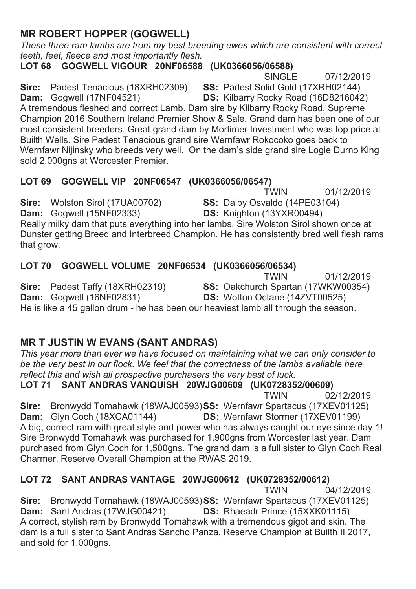### **MR ROBERT HOPPER (GOGWELL)**

*These three ram lambs are from my best breeding ewes which are consistent with correct teeth, feet, fleece and most importantly flesh.* 

LOT 68 GOGWELL VIGOUR 20NF06588 (UK0366056/06588)

6,1\*/(

**Sire:** Padest Tenacious (18XRH02309) **SS:** Padest Solid Gold (17XRH02144) **Dam:** Gogwell (17NF04521) **DS:** Kilbarry Rocky Road (16D8216042)

**DS:** Kilbarry Rocky Road (16D8216042)

A tremendous fleshed and correct Lamb. Dam sire by Kilbarry Rocky Road, Supreme Champion 2016 Southern Ireland Premier Show & Sale. Grand dam has been one of our most consistent breeders. Great grand dam by Mortimer Investment who was top price at Builth Wells. Sire Padest Tenacious grand sire Wernfawr Rokocoko goes back to Wernfawr Nijinsky who breeds very well. On the dam's side grand sire Logie Durno King sold 2,000qns at Worcester Premier.

### LOT 69 GOGWELL VIP 20NF06547 (UK0366056/06547)

TWIN 01/12/2019

**Sire:** Wolston Sirol (17UA00702) **SS:** Dalby Osvaldo (14PE03104)

**Dam:** Gogwell (15NF02333) **DS:** Knighton (13YXR00494)

Really milky dam that puts everything into her lambs. Sire Wolston Sirol shown once at Dunster getting Breed and Interbreed Champion. He has consistently bred well flesh rams that grow.

### LOT 70 GOGWELL VOLUME 20NF06534 (UK0366056/06534)

01/12/2019<br>**7:11 Sire:** Padest Taffy (18XRH02319) **SS:** Oakchurch Spartan (17WKW00354) **Sire:** Padest Taffy (18XRH02319) **SS:** Oakchurch Spartan (17WKW00354)<br>**Dam:** Gogwell (16NF02831) **DS:** Wotton Octane (14ZVT00525) **DS:** Wotton Octane (14ZVT00525) He is like a 45 gallon drum - he has been our heaviest lamb all through the season.

### **MR T JUSTIN W EVANS (SANT ANDRAS)**

*This year more than ever we have focused on maintaining what we can only consider to be the very best in our flock. We feel that the correctness of the lambs available here reflect this and wish all prospective purchasers the very best of luck.* 

### LOT 71 SANT ANDRAS VANQUISH 20WJG00609 (UK0728352/00609)

 $T$ WIN 02/12/2019 Sire: Bronwydd Tomahawk (18WAJ00593)SS: Wernfawr Spartacus (17XEV01125) **Dam:** Glyn Coch (18XCA01144) **DS:** Wernfawr Stormer (17XEV01199) A big, correct ram with great style and power who has always caught our eve since day 1! Sire Bronwydd Tomahawk was purchased for 1,900gns from Worcester last year. Dam purchased from Glyn Coch for 1,500gns. The grand dam is a full sister to Glyn Coch Real Charmer, Reserve Overall Champion at the RWAS 2019.

## **/276\$17\$1'5\$69\$17\$\*(:-\*8.**

 $TWIN$  04/12/2019

**Sire:** Bronwydd Tomahawk (18WAJ00593)SS: Wernfawr Spartacus (17XEV01125) **Dam:** Sant Andras (17WJG00421) **DS:** Rhaeadr Prince (15XXK01115) A correct, stylish ram by Bronwydd Tomahawk with a tremendous gigot and skin. The dam is a full sister to Sant Andras Sancho Panza, Reserve Champion at Builth II 2017, and sold for 1,000gns.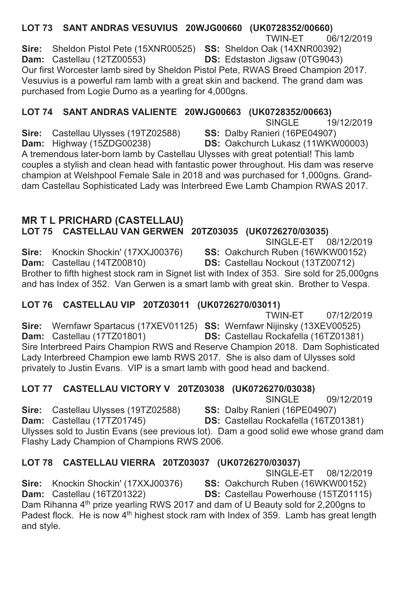LOT 73 SANT ANDRAS VESUVIUS 20WJG00660 (UK0728352/00660) **TWIN-ET** 06/12/2019 Sire: Sheldon Pistol Pete (15XNR00525) SS: Sheldon Oak (14XNR00392) Dam: Castellau (12TZ00553) **DS:** Edstaston Jigsaw (0TG9043) Our first Worcester lamb sired by Sheldon Pistol Pete. RWAS Breed Champion 2017. Vesuvius is a powerful ram lamb with a great skin and backend. The grand dam was purchased from Logie Durno as a yearling for 4,000gns.

### LOT 74 SANT ANDRAS VALIENTE 20WJG00663 (UK0728352/00663)

**SINGLE** 19/12/2019

Sire: Castellau Ulvsses (19TZ02588)

SS: Dalby Ranieri (16PE04907) DS: Oakchurch Lukasz (11WKW00003)

Dam: Highway (15ZDG00238) A tremendous later-born lamb by Castellau Ulysses with great potential! This lamb couples a stylish and clean head with fantastic power throughout. His dam was reserve champion at Welshpool Female Sale in 2018 and was purchased for 1,000gns. Granddam Castellau Sophisticated Lady was Interbreed Ewe Lamb Champion RWAS 2017.

## **MR T L PRICHARD (CASTELLAU)**

LOT 75 CASTELLAU VAN GERWEN 20TZ03035 (UK0726270/03035)

SINGLE-ET 08/12/2019

Sire: Knockin Shockin' (17XXJ00376)

SS: Oakchurch Ruben (16WKW00152) DS: Castellau Nockout (13TZ00712)

Dam: Castellau (14TZ00810) Brother to fifth highest stock ram in Signet list with Index of 353. Sire sold for 25,000gns and has Index of 352. Van Gerwen is a smart lamb with great skin. Brother to Vespa.

### LOT 76 CASTELLAU VIP 20TZ03011 (UK0726270/03011)

**TWIN-ET** 07/12/2019

Sire: Wernfawr Spartacus (17XEV01125) SS: Wernfawr Nijinsky (13XEV00525) DS: Castellau Rockafella (16TZ01381) Dam: Castellau (17TZ01801) Sire Interbreed Pairs Champion RWS and Reserve Champion 2018. Dam Sophisticated Lady Interbreed Champion ewe lamb RWS 2017. She is also dam of Ulysses sold privately to Justin Evans. VIP is a smart lamb with good head and backend.

### LOT 77 CASTELLAU VICTORY V 20TZ03038 (UK0726270/03038)

**SINGLE** 09/12/2019

Sire: Castellau Ulvsses (19TZ02588) SS: Dalby Ranieri (16PE04907) Dam: Castellau (17TZ01745) DS: Castellau Rockafella (16TZ01381) Ulysses sold to Justin Evans (see previous lot). Dam a good solid ewe whose grand dam Flashy Lady Champion of Champions RWS 2006.

### LOT 78 CASTELLAU VIERRA 20TZ03037 (UK0726270/03037)

SINGLE-FT 08/12/2019

Sire: Knockin Shockin' (17XXJ00376) SS: Oakchurch Ruben (16WKW00152) DS: Castellau Powerhouse (15TZ01115) Dam: Castellau (16TZ01322) Dam Rihanna 4<sup>th</sup> prize yearling RWS 2017 and dam of U Beauty sold for 2,200gns to Padest flock. He is now 4<sup>th</sup> highest stock ram with Index of 359. Lamb has great length and style.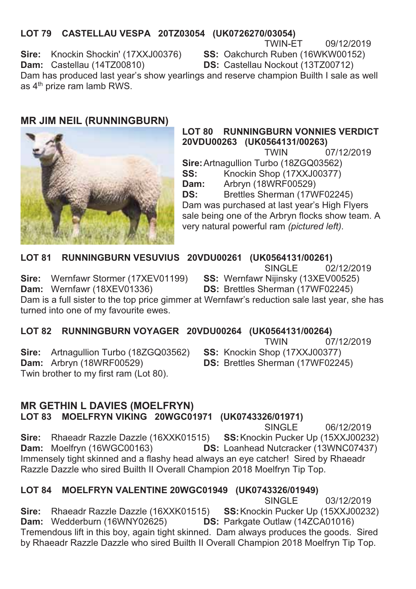### LOT 79 CASTELLAU VESPA 20TZ03054 (UK0726270/03054)

TWIN-FT 09/12/2019

Sire: Knockin Shockin' (17XXJ00376)

SS: Oakchurch Ruben (16WKW00152)

Dam: Castellau (14TZ00810)

DS: Castellau Nockout (13TZ00712)

Dam has produced last year's show yearlings and reserve champion Builth I sale as well as 4<sup>th</sup> prize ram lamb RWS.

### **MR JIM NEIL (RUNNINGBURN)**



#### **LOT 80 RUNNINGBURN VONNIES VERDICT** 20VDU00263 (UK0564131/00263)

07/12/2019 **TWIN** Sire: Artnagullion Turbo (18ZGQ03562) Knockin Shop (17XXJ00377) SS: Dam: Arbryn (18WRF00529) Brettles Sherman (17WF02245) DS<sup>.</sup>

Dam was purchased at last year's High Flyers sale being one of the Arbryn flocks show team. A very natural powerful ram (pictured left).

#### **LOT 81** RUNNINGBURN VESUVIUS 20VDU00261 (UK0564131/00261)

 $02/12/2019$ SINGLE

Sire: Wernfawr Stormer (17XEV01199) Dam: Wernfawr (18XEV01336)

SS: Wernfawr Nijinsky (13XEV00525) **DS: Brettles Sherman (17WF02245)** 

Dam is a full sister to the top price gimmer at Wernfawr's reduction sale last year, she has turned into one of my favourite ewes.

### LOT 82 RUNNINGBURN VOYAGER 20VDU00264 (UK0564131/00264)

**TWIN** 07/12/2019

Sire: Artnagullion Turbo (18ZGQ03562) **Dam:** Arbryn (18WRF00529) Twin brother to my first ram (Lot 80).

SS: Knockin Shop (17XXJ00377) **DS: Brettles Sherman (17WF02245)** 

### **MR GETHIN L DAVIES (MOELFRYN)**

LOT 83 MOELFRYN VIKING 20WGC01971 (UK0743326/01971)

SINGLE<sup>1</sup> 06/12/2019 Sire: Rhaeadr Razzle Dazzle (16XXK01515) SS: Knockin Pucker Up (15XXJ00232) Dam: Moelfryn (16WGC00163) DS: Loanhead Nutcracker (13WNC07437) Immensely tight skinned and a flashy head always an eye catcher! Sired by Rhaeadr Razzle Dazzle who sired Builth II Overall Champion 2018 Moelfryn Tip Top.

### LOT 84 MOELFRYN VALENTINE 20WGC01949 (UK0743326/01949)

SINGLE<sup></sup> 03/12/2019 Sire: Rhaeadr Razzle Dazzle (16XXK01515) SS: Knockin Pucker Up (15XXJ00232) **Dam:** Wedderburn (16WNY02625) **DS:** Parkgate Outlaw (14ZCA01016) Tremendous lift in this boy, again tight skinned. Dam always produces the goods. Sired by Rhaeadr Razzle Dazzle who sired Builth II Overall Champion 2018 Moelfryn Tip Top.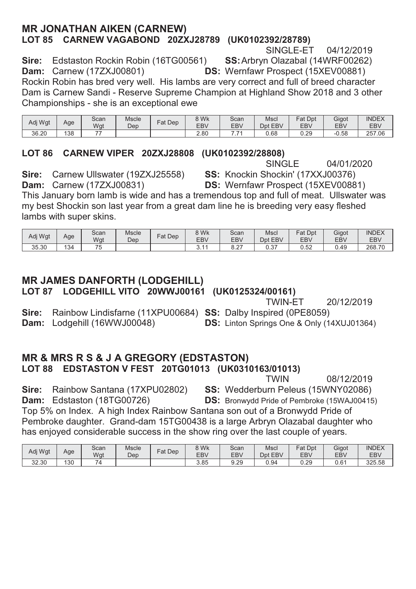### **MR JONATHAN AIKEN (CARNEW)** LOT 85 CARNEW VAGABOND 20ZXJ28789 (UK0102392/28789)

SINGLE-ET 04/12/2019

Sire: Edstaston Rockin Robin (16TG00561) Dam: Carnew (17ZXJ00801)

SS: Arbryn Olazabal (14WRF00262) **DS:** Wernfawr Prospect (15XEV00881)

Rockin Robin has bred very well. His lambs are very correct and full of breed character Dam is Carnew Sandi - Reserve Supreme Champion at Highland Show 2018 and 3 other Championships - she is an exceptional ewe

| Adi Wat | Age | Scan<br>Wgt | Mscle<br>Dep | Dep<br>Fat | 8 Wk<br>EB\ | Scan<br>EBV | Mscl<br>Dpt EBV | Fat Dpt<br><b>EBV</b> | Gigot<br>EB\ | <b>INDEX</b><br><b>EBV</b> |
|---------|-----|-------------|--------------|------------|-------------|-------------|-----------------|-----------------------|--------------|----------------------------|
| 36.20   | 138 | --          |              |            | 2.80        |             | 0.68            | 0.29                  | $-0.58$      | 257<br>.06                 |

### LOT 86 CARNEW VIPER 20ZXJ28808 (UK0102392/28808)

**SINGLE** 04/01/2020 SS: Knockin Shockin' (17XXJ00376)

Sire: Carnew Ullswater (19ZXJ25558) Dam: Carnew (17ZXJ00831)

DS: Wernfawr Prospect (15XEV00881)

This January born lamb is wide and has a tremendous top and full of meat. Ullswater was my best Shockin son last year from a great dam line he is breeding very easy fleshed lambs with super skins.

| Adi Wat | Age | Scan<br>Wgt | <b>Mscle</b><br>Dep | Fat<br>Dep | 8 Wk<br>EB <sub>V</sub> | Scan<br><b>EBV</b> | Msci<br>Dpt EBV | Fat<br>Dpt<br><b>EBV</b> | Gigot<br>EB <sub>V</sub> | <b>INDEX</b><br><b>EBV</b> |
|---------|-----|-------------|---------------------|------------|-------------------------|--------------------|-----------------|--------------------------|--------------------------|----------------------------|
| 35.30   | 134 | --<br>- 1   |                     |            | $\overline{A}$<br>ິ.    | $\sim$<br>0.Z      | 0.37            | 0.52                     | $\sim$<br>0.49           | 268.70                     |

## **MR JAMES DANFORTH (LODGEHILL)**

LOT 87 LODGEHILL VITO 20WWJ00161 (UK0125324/00161)

**TWIN-FT** 20/12/2019

Rainbow Lindisfarne (11XPU00684) SS: Dalby Inspired (0PE8059) Sire: Dam: Lodgehill (16WWJ00048)

**DS:** Linton Springs One & Only (14XUJ01364)

### **MR & MRS R S & J A GREGORY (EDSTASTON)** LOT 88 EDSTASTON V FEST 20TG01013 (UK0310163/01013)

**TWIN** 08/12/2019

Rainbow Santana (17XPU02802) SS: Wedderburn Peleus (15WNY02086) Sire: Dam: Edstaston (18TG00726) **DS:** Bronwydd Pride of Pembroke (15WAJ00415) Top 5% on Index. A high Index Rainbow Santana son out of a Bronwydd Pride of Pembroke daughter. Grand-dam 15TG00438 is a large Arbryn Olazabal daughter who has enjoyed considerable success in the show ring over the last couple of years.

| Adj Wgt | Age | Scan<br>Wgt                     | Mscle<br>Dep | $F$ at Dep | <b>SWK</b><br><b>EBV</b> | Scan<br>EBV | Mscl<br>EBV<br>Dnt | Fat Dpt<br><b>EBV</b> | Gigot<br>EB\ | <b>INDEX</b><br><b>EBV</b> |
|---------|-----|---------------------------------|--------------|------------|--------------------------|-------------|--------------------|-----------------------|--------------|----------------------------|
| 32.30   | 130 | $\overline{\phantom{a}}$<br>ا / |              |            | 3.85                     | 9.29        | 0.94               | 0.29                  | 0.61         | 325.58                     |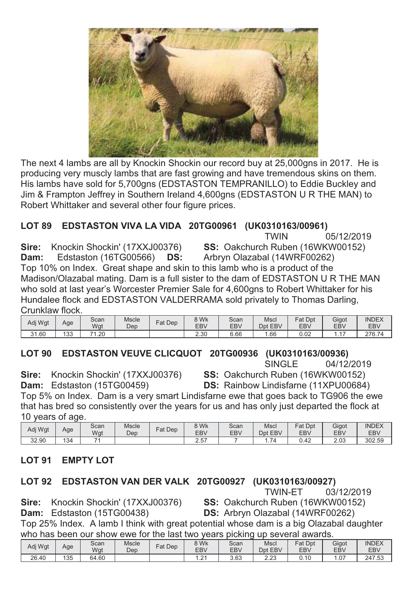

The next 4 lambs are all by Knockin Shockin our record buy at 25,000gns in 2017. He is producing very muscly lambs that are fast growing and have tremendous skins on them. His lambs have sold for 5,700gns (EDSTASTON TEMPRANILLO) to Eddie Buckley and Jim & Frampton Jeffrey in Southern Ireland 4.600gns (EDSTASTON U R THE MAN) to Robert Whittaker and several other four figure prices.

### LOT 89 EDSTASTON VIVA LA VIDA 20TG00961 (UK0310163/00961)

Sire: Knockin Shockin' (17XXJ00376)

**TWIN** 05/12/2019 SS: Oakchurch Ruben (16WKW00152) Arbryn Olazabal (14WRF00262)

Edstaston (16TG00566) DS: Dam:

Top 10% on Index. Great shape and skin to this lamb who is a product of the Madison/Olazabal mating. Dam is a full sister to the dam of EDSTASTON U R THE MAN who sold at last year's Worcester Premier Sale for 4,600gns to Robert Whittaker for his Hundalee flock and EDSTASTON VALDERRAMA sold privately to Thomas Darling. Crunklaw flock

| Adi Wat | Age | Scan<br>Wgt | Mscle<br>Dep | Dep<br>Fat | 8 Wk<br>EBV | Scan<br>EBV | Mscl<br>Dpt<br><b>EBV</b> | Fat<br>Dpt<br><b>EBV</b> | Gigot<br>EB <sub>V</sub> | <b>INDEX</b><br><b>EBV</b> |
|---------|-----|-------------|--------------|------------|-------------|-------------|---------------------------|--------------------------|--------------------------|----------------------------|
| 31.60   | 133 | 74<br>.20   |              |            | 2.30        | 6.66        | . . 66                    | 0.02                     |                          | 276.74                     |

### LOT 90 EDSTASTON VEUVE CLICQUOT 20TG00936 (UK0310163/00936)

SINGLE<sup>1</sup> 04/12/2019

Sire: Knockin Shockin' (17XXJ00376)

SS: Oakchurch Ruben (16WKW00152) **DS:** Rainbow Lindisfarne (11XPU00684)

Dam: Edstaston (15TG00459) Top 5% on Index. Dam is a very smart Lindisfarne ewe that goes back to TG906 the ewe that has bred so consistently over the years for us and has only just departed the flock at 10 years of age.

| Adj Wgt | Age | Scan<br>Wgt | Mscle<br>Dep | Dep<br>$F$ at | 8 Wk<br>EB\         | Scan<br><b>EBV</b> | Msci<br>EBV<br>Dpt | Fat Dpt<br><b>EBV</b> | Gigot<br><b>EBV</b> | <b>INDEX</b><br><b>EBV</b> |
|---------|-----|-------------|--------------|---------------|---------------------|--------------------|--------------------|-----------------------|---------------------|----------------------------|
| 32.90   | 134 |             |              |               | 57<br>$\sim$<br>د.ء |                    | $\rightarrow$      | 0.42                  | 2.03                | 302.59                     |

#### **LOT 91 EMPTY LOT**

### LOT 92 EDSTASTON VAN DER VALK 20TG00927 (UK0310163/00927)

03/12/2019 **TWIN-ET** 

Sire: Knockin Shockin' (17XXJ00376) SS: Oakchurch Ruben (16WKW00152) Dam: Edstaston (15TG00438) DS: Arbryn Olazabal (14WRF00262) Top 25% Index. A lamb I think with great potential whose dam is a big Olazabal daughter who has been our show ewe for the last two years picking up several awards

|         |     |       |              |           |                               | $\sqrt{2}$ |              | .          |       |              |
|---------|-----|-------|--------------|-----------|-------------------------------|------------|--------------|------------|-------|--------------|
| Adj Wgt | Age | Scan  | <b>Mscle</b> | $Fat$ Dep | 8 Wk                          | Scan       | Mscl         | Fat Dpt    | Gigot | <b>INDEX</b> |
|         |     | Wqt   | Dep          |           | <b>EBV</b>                    | EBV        | Dpt EBV      | <b>EBV</b> | EB\   | EBV          |
| 26.40   | 135 | 64.60 |              |           | $\sim$<br>$\cdot$ . 4 $\cdot$ | 3.63       | מח ה<br>د.∠ء | 0.10       | .07   | 247.53       |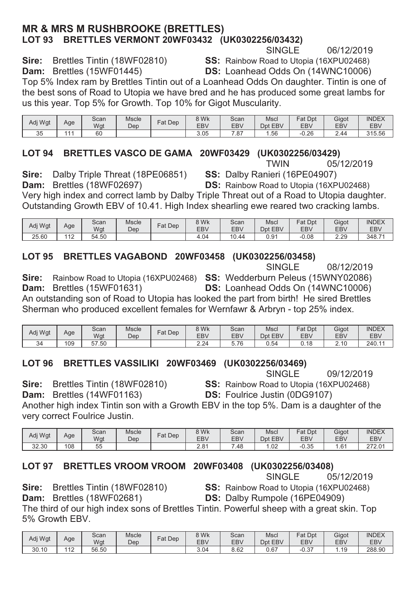### **MR & MRS M RUSHBROOKE (BRETTLES)** LOT 93 BRETTLES VERMONT 20WF03432 (UK0302256/03432)<br>SINGLE

**6/12/2019** SINGLE 06/12/2019

**Sire:** Brettles Tintin (18WF02810) **SS:** Rainbow Road to Utopia (16XPU02468)<br>**Dam:** Brettles (15WF01445) **DS:** Loanhead Odds On (14WNC10006) **DS:** Loanhead Odds On (14WNC10006)

Top 5% Index ram by Brettles Tintin out of a Loanhead Odds On daughter. Tintin is one of the best sons of Road to Utopia we have bred and he has produced some great lambs for us this year. Top 5% for Growth. Top 10% for Gigot Muscularity.

| Adj Wgt  | Age | Scan<br>Wgt | Mscle<br>Dep | Dep<br>Fat. | 8 Wk<br>EB\ | Scan<br><b>EBV</b> | Msci<br><b>EBV</b><br>Dpt | Fat<br>Dpt<br><b>EBV</b> | Gigot<br><b>EBV</b> | <b>INDEX</b><br><b>EBV</b> |
|----------|-----|-------------|--------------|-------------|-------------|--------------------|---------------------------|--------------------------|---------------------|----------------------------|
| 35<br>υu | .   | 60          |              |             | 3.05        | .87                | 1.56                      | $-0.26$                  | 2.44                | 315.56                     |

## **/DT 94 BRETTLES VASCO DE GAMA 20WF03429 (UK0302256/03429)**<br>TWIN 05/12/2019

 $TWHN$  05/12/2019

**Sire:** Dalby Triple Threat (18PE06851) **SS:** Dalby Ranieri (16PE04907)

**Dam:** Brettles (18WF02697) **DS:** Rainbow Road to Utopia (16XPU02468)

Very high index and correct lamb by Dalby Triple Threat out of a Road to Utopia daughter. Outstanding Growth EBV of 10.41. High Index shearling ewe reared two cracking lambs.

| Adi Wat | Age                             | Scan<br>Wgt | <b>Mscle</b><br>Dep | Fat<br>Dep | 8 Wk<br>EB <sub>V</sub> | Scan<br>EBV    | Mscl<br>EBV<br>Dnt | $=$ at<br>Dpt<br><b>EBV</b> | Gigot<br>EB <sub>V</sub> | <b>INDEX</b><br><b>EBV</b> |
|---------|---------------------------------|-------------|---------------------|------------|-------------------------|----------------|--------------------|-----------------------------|--------------------------|----------------------------|
| 25.60   | 140<br>$\overline{\phantom{a}}$ | 54.50       |                     |            | $+0.04$<br>$\Delta$     | $\sim$<br>0.44 | 0.91               | 0.08                        | 2.29                     | 348.71                     |

## **/27%56/03458 LOT 95 BRETTLES VAGABOND 20WF03458**<br>SINGLE

 $SINGLE$  08/12/2019

**Sire:** Rainbow Road to Utopia (16XPU02468) **SS:** Wedderburn Peleus (15WNY02086) **Dam:** Brettles (15WF01631) **DS:** Loanhead Odds On (14WNC10006)

An outstanding son of Road to Utopia has looked the part from birth! He sired Brettles Sherman who produced excellent females for Wernfawr & Arbryn - top 25% index.

| Adj Wgt | Age | Scan<br>Wat    | <b>Mscle</b><br>Dep | Dep<br>$at$ | 8 Wk<br><b>EBV</b> | Scan<br><b>EBV</b> | Mscl<br>Dpt<br><b>EBV</b> | Fat<br>Dpt<br><b>EBV</b> | Gigot<br>EB <sub>V</sub>                                              | <b>INDEX</b><br><b>EBV</b> |
|---------|-----|----------------|---------------------|-------------|--------------------|--------------------|---------------------------|--------------------------|-----------------------------------------------------------------------|----------------------------|
| 34      | 109 | :50<br>57<br>ັ |                     |             | າາາ<br>2.Z4        | 76<br>v<br>ن ب     | J.54                      | 18<br>ັ                  | $\overline{\phantom{a}}$<br>$\overline{A}$ $\overline{C}$<br><u>.</u> | 240.11                     |

## **/LOT 96 BRETTLES VASSILIKI 20WF03469 (UK0302256/03469)**<br>SINGLE

For the state of the SINGLE to  $69/12/2019$ 

**Sire:** Brettles Tintin (18WF02810) **SS:** Rainbow Road to Utopia (16XPU02468) **Dam: DRICHT** Brettles (14WF01163)

**DS:** Foulrice Justin (0DG9107)

Another high index Tintin son with a Growth EBV in the top 5%. Dam is a daughter of the very correct Foulrice Justin.

| Adj Wgt | Age | Scan<br>Wgt | <b>Mscle</b><br>Dep | Fat<br>Dep | 8 Wk<br>EB <sub>V</sub> | Scan<br>EBV | Mscl<br><b>EBV</b><br>Dpt | $at$<br>Dpt<br><b>EBV</b> | Gigot<br>EB <sub>V</sub> | <b>INDEX</b><br><b>EBV</b> |
|---------|-----|-------------|---------------------|------------|-------------------------|-------------|---------------------------|---------------------------|--------------------------|----------------------------|
| 32.30   | 108 | $-1$<br>55  |                     |            | 2.81                    | '.48        | .02                       | n 35<br>U.SJ              | .61                      | 272.01                     |

# **/DT 97 BRETTLES VROOM VROOM 20WF03408 (UK0302256/03408)<br>SINGLE 05/12/2019**

**6,12/2019** SINGLE 05/12/2019

**Sire:** Brettles Tintin (18WF02810) **SS:** Rainbow Road to Utopia (16XPU02468)

**Dam:** Brettles (18WF02681) **DS:** Dalby Rumpole (16PE04909)

The third of our high index sons of Brettles Tintin. Powerful sheep with a great skin. Top 5% Growth EBV.

| Adj Wgt | Age                             | Scan<br>Wat | <b>Mscle</b><br>Dep | Fat<br>Dep | 8 Wk<br><b>EBV</b> | Scan<br>EBV | Mscl<br>Dpt EBV | Fat Dpt<br><b>EBV</b> | Gigot<br>EB <sub>V</sub> | <b>INDEX</b><br><b>EBV</b> |
|---------|---------------------------------|-------------|---------------------|------------|--------------------|-------------|-----------------|-----------------------|--------------------------|----------------------------|
| 30.10   | 140<br>$\overline{\phantom{a}}$ | 56.50       |                     |            | 3.04               | 8.62        | 0.67            | $\sim$<br>-u.o.       | 10                       | 288.90                     |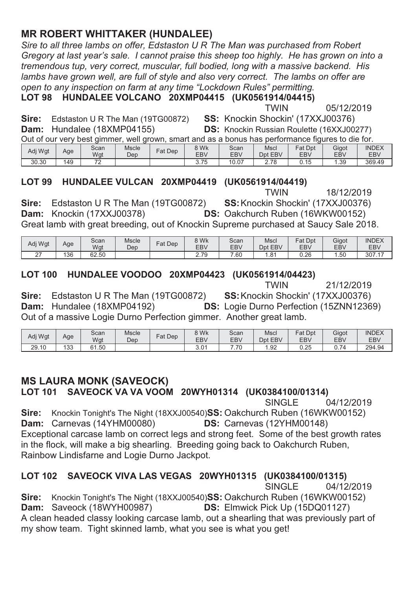### **MR ROBERT WHITTAKER (HUNDALEE)**

*Sire to all three lambs on offer, Edstaston U R The Man was purchased from Robert Gregory at last year's sale. I cannot praise this sheep too highly. He has grown on into a tremendous tup, very correct, muscular, full bodied, long with a massive backend. His*  lambs have grown well, are full of style and also very correct. The lambs on offer are *open to any inspection on farm at any time "Lockdown Rules" permitting.* 

**LOT 98 HUNDALEE VOLCANO 20XMP04415 (UK0561914/04415)**<br>TWIN

 $T$ WIN 05/12/2019

18/12/2019

**Sire:** Edstaston U R The Man (19TG00872)<br>**Dam:** Hundalee (18XMP04155)

SS: Knockin Shockin' (17XXJ00376) **DS:** Knockin Russian Roulette (16XXJ00277)

| Out of our very best gimmer, well grown, smart and as a bonus has performance figures to die for. |  |  |
|---------------------------------------------------------------------------------------------------|--|--|
|                                                                                                   |  |  |
|                                                                                                   |  |  |
|                                                                                                   |  |  |

| Adi Wat | Age | Scan<br>Wat              | Mscle<br>Dep | Fat<br>Dep | 8 Wk<br><b>EBV</b> | Scan<br>EBV | Mscl<br><b>EBV</b><br>Dpt | Dpt<br>Fat<br><b>EBV</b> | Gigot<br>EBV | <b>INDEX</b><br>EBV |
|---------|-----|--------------------------|--------------|------------|--------------------|-------------|---------------------------|--------------------------|--------------|---------------------|
| 30.30   | 149 | $\overline{\phantom{a}}$ |              |            | 75<br>ن ، ، ب      | 10.07       | 2.78                      | 1F<br>ບ. ເບ              | 39،،         | 369.49              |

## **LOT 99 HUNDALEE VULCAN 20XMP04419 (UK0561914/04419)**<br>TWIN

**Sire:** Edstaston U R The Man (19TG00872)<br>**Dam:** Knockin (17XXJ00378) SS: Knockin Shockin' (17XXJ00376) **DS:** Oakchurch Ruben (16WKW00152) Great lamb with great breeding, out of Knockin Supreme purchased at Saucy Sale 2018.

| Adi Wat | Age | Scan<br>Wgt | Mscle<br>Dep | $F$ at Dep | 8 Wk<br><b>EBV</b> | Scan<br>EBV | Mscl<br>EBV<br>Dnt | Fat Dpt<br><b>EBV</b> | Gigot<br>EB\ | <b>INDEX</b><br><b>EBV</b>         |
|---------|-----|-------------|--------------|------------|--------------------|-------------|--------------------|-----------------------|--------------|------------------------------------|
| $\sim$  | 136 | 62.50       |              |            | 2.79               | .60         | .8 <sup>4</sup>    | 0.26                  | .50          | 307.17<br>$\overline{\phantom{a}}$ |

### LOT 100 HUNDALEE VOODOO 20XMP04423 (UK0561914/04423)

| MIN | 21/ |
|-----|-----|

 $T$ WIN 21/12/2019 **Sire:** Edstaston U R The Man (19TG00872)<br>**Dam:** Hundalee (18XMP04192) SS: Knockin Shockin' (17XXJ00376) **DS:** Logie Durno Perfection (15ZNN12369) Out of a massive Logie Durno Perfection gimmer. Another great lamb.

| Adj Wgt | Age        | Scan<br>Wgt | <b>Mscle</b><br>Dep | $at$ Dep | 8 Wk<br><b>EBV</b> | Scan<br><b>EBV</b> | <b>Mscl</b><br>Dpt EBV | Dpt<br>Fat<br><b>EBV</b> | Gigot<br>EB <sub>V</sub> | <b>INDEX</b><br>EBV |
|---------|------------|-------------|---------------------|----------|--------------------|--------------------|------------------------|--------------------------|--------------------------|---------------------|
| 29.10   | 132<br>ن ت | 61<br>.50   |                     |          | J.U                | 70                 | 1.92                   | 0.25                     | $\sim$<br>۰,<br>$\cup$ . | 294.94              |

### **MS LAURA MONK (SAVEOCK)**

LOT 101 SAVEOCK VA VA VOOM 20WYH01314 (UK0384100/01314)

For the state of the SINGLE to 04/12/2019 **Sire:** Knockin Tonight's The Night (18XXJ00540)**SS:** Oakchurch Ruben (16WKW00152) **Dam:** Carnevas (14YHM00080) **DS:** Carnevas (12YHM00148) Exceptional carcase lamb on correct legs and strong feet. Some of the best growth rates in the flock, will make a big shearling. Breeding going back to Oakchurch Ruben, Rainbow Lindisfarne and Logie Durno Jackpot.

## **/LOT 102 SAVEOCK VIVA LAS VEGAS 20WYH01315 (UK0384100/01315)**<br>SINGLE 04/12

04/12/2019 **Sire:** Knockin Tonight's The Night (18XXJ00540)**SS:** Oakchurch Ruben (16WKW00152) **Dam:** Saveock (18WYH00987) **DS:** Elmwick Pick Up (15DQ01127) A clean headed classy looking carcase lamb, out a shearling that was previously part of my show team. Tight skinned lamb, what you see is what you get!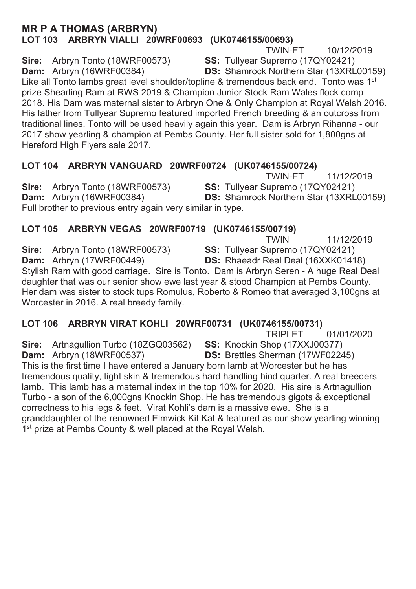### **MR P A THOMAS (ARBRYN)** LOT 103 ARBRYN VIALLI 20WRF00693 (UK0746155/00693)

**TWIN-ET** 10/12/2019

Sire: Arbryn Tonto (18WRF00573) Dam: Arbryn (16WRF00384)

SS: Tullyear Supremo (17QY02421) **DS:** Shamrock Northern Star (13XRL00159)

Like all Tonto lambs great level shoulder/topline & tremendous back end. Tonto was 1<sup>st</sup> prize Shearling Ram at RWS 2019 & Champion Junior Stock Ram Wales flock comp 2018. His Dam was maternal sister to Arbryn One & Only Champion at Royal Welsh 2016. His father from Tullyear Supremo featured imported French breeding & an outcross from traditional lines. Tonto will be used heavily again this year. Dam is Arbryn Rihanna - our 2017 show vearling & champion at Pembs County. Her full sister sold for 1.800gns at Hereford High Flyers sale 2017.

### LOT 104 ARBRYN VANGUARD 20WRF00724 (UK0746155/00724)

**TWIN-ET** 11/12/2019 Sire: Arbryn Tonto (18WRF00573) SS: Tullyear Supremo (17QY02421) Dam: Arbryn (16WRF00384) **DS:** Shamrock Northern Star (13XRL00159) Full brother to previous entry again very similar in type.

### LOT 105 ARBRYN VEGAS 20WRF00719 (UK0746155/00719)

**TWIN** 11/12/2019 SS: Tullyear Supremo (17QY02421) Sire: Arbryn Tonto (18WRF00573) Dam: Arbryn (17WRF00449) DS: Rhaeadr Real Deal (16XXK01418) Stylish Ram with good carriage. Sire is Tonto. Dam is Arbryn Seren - A huge Real Deal daughter that was our senior show ewe last year & stood Champion at Pembs County. Her dam was sister to stock tups Romulus, Roberto & Romeo that averaged 3,100gns at Worcester in 2016. A real breedy family.

### LOT 106 ARBRYN VIRAT KOHLI 20WRF00731 (UK0746155/00731)

**TRIPLET** 01/01/2020

Sire: Artnagullion Turbo (18ZGQ03562) SS: Knockin Shop (17XXJ00377) **Dam:** Arbryn (18WRF00537) DS: Brettles Sherman (17WF02245) This is the first time I have entered a January born lamb at Worcester but he has tremendous quality, tight skin & tremendous hard handling hind quarter. A real breeders lamb. This lamb has a maternal index in the top 10% for 2020. His sire is Artnagullion Turbo - a son of the 6,000gns Knockin Shop. He has tremendous gigots & exceptional correctness to his legs & feet. Virat Kohli's dam is a massive ewe. She is a granddaughter of the renowned Elmwick Kit Kat & featured as our show yearling winning 1<sup>st</sup> prize at Pembs County & well placed at the Royal Welsh.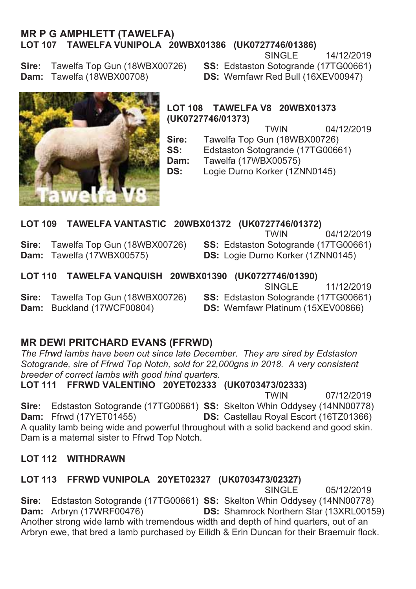### **MR P G AMPHLETT (TAWELFA)** LOT 107 TAWELFA VUNIPOLA 20WBX01386 (UK0727746/01386)

SINGLE 14/12/2019

Sire: Tawelfa Top Gun (18WBX00726) Dam: Tawelfa (18WBX00708)

SS: Edstaston Sotogrande (17TG00661) DS: Wernfawr Red Bull (16XEV00947)



LOT 108 TAWELFA V8 20WBX01373 (UK0727746/01373)

> **TWIN** 04/12/2019

Sire: Tawelfa Top Gun (18WBX00726)

SS: Edstaston Sotogrande (17TG00661)

Dam: Tawelfa (17WBX00575)

Logie Durno Korker (1ZNN0145) DS:

#### LOT 109 TAWELFA VANTASTIC 20WBX01372 (UK0727746/01372)

Tawelfa Top Gun (18WBX00726) Sire: Dam: Tawelfa (17WBX00575)

**TWIN** 04/12/2019 SS: Edstaston Sotogrande (17TG00661) DS: Logie Durno Korker (1ZNN0145)

LOT 110 TAWELFA VANQUISH 20WBX01390 (UK0727746/01390)

Tawelfa Top Gun (18WBX00726) Sire: Dam: Buckland (17WCF00804)

SINGLE<sup></sup> 11/12/2019

SS: Edstaston Sotogrande (17TG00661)

DS: Wernfawr Platinum (15XEV00866)

### **MR DEWI PRITCHARD EVANS (FFRWD)**

The Ffrwd lambs have been out since late December. They are sired by Edstaston Sotogrande, sire of Ffrwd Top Notch, sold for 22,000gns in 2018. A very consistent breeder of correct lambs with good hind quarters.

LOT 111 FFRWD VALENTINO 20YET02333 (UK0703473/02333)

**TWIN** 07/12/2019 Edstaston Sotogrande (17TG00661) SS: Skelton Whin Oddysey (14NN00778) Sire: DS: Castellau Royal Escort (16TZ01366) **Dam:** Ffrwd (17YET01455) A quality lamb being wide and powerful throughout with a solid backend and good skin. Dam is a maternal sister to Ffrwd Top Notch.

### **LOT 112 WITHDRAWN**

### LOT 113 FFRWD VUNIPOLA 20YET02327 (UK0703473/02327)

SINGLE<sup></sup> 05/12/2019 Sire: Edstaston Sotogrande (17TG00661) SS: Skelton Whin Oddysey (14NN00778) **DS:** Shamrock Northern Star (13XRL00159) Dam: Arbryn (17WRF00476) Another strong wide lamb with tremendous width and depth of hind quarters, out of an Arbryn ewe, that bred a lamb purchased by Eilidh & Erin Duncan for their Braemuir flock.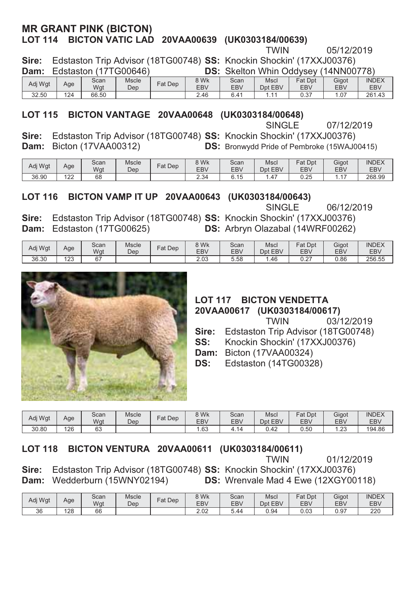### **MR GRANT PINK (BICTON)** LOT 114 BICTON VATIC LAD 20VAA00639 (UK0303184/00639)

**6LUH** (GVWDVWRQ7ULS\$GYLVRU7\***66** .QRFNLQ6KRFNLQ

TWIN 05/12/2019

 $\cdots$ 

| <b>Dam:</b> Edstaston (17TG00646)                                         |  |  | <b>DS:</b> Skelton Whin Oddysey (14NN00778) |  |  |
|---------------------------------------------------------------------------|--|--|---------------------------------------------|--|--|
| Sire: Edstaston Trip Advisor (181GUU748) SS: Knockin Snockin (17XXJUU376) |  |  |                                             |  |  |

| Adi Wat | Age | Scan<br>Wgt | Mscle<br>Dep | Dep<br>∃at | 8 Wk<br>EB <sub>V</sub> | Scan<br><b>EBV</b>     | Mscl<br>Dpt EBV | <b>Fat Dpt</b><br><b>EBV</b> | Gigot<br><b>EBV</b> | <b>INDEX</b><br><b>EBV</b> |
|---------|-----|-------------|--------------|------------|-------------------------|------------------------|-----------------|------------------------------|---------------------|----------------------------|
| 32.50   | 124 | 66.50       |              |            | 2.46                    | $\Lambda$ <sup>1</sup> |                 | 0.27<br>U.J1                 | .07                 | 261<br>1.43<br>۷J          |

### LOT 115 BICTON VANTAGE 20VAA00648 (UK0303184/00648)

Final SINGLE 07/12/2019

**Sire:** Edstaston Trip Advisor (18TG00748) **SS:** Knockin Shockin' (17XXJ00376) **Dam:** Bicton (17VAA00312) **DS:** Bronwydd Pride of Pembroke (15WAJ00415)

| Adj Wgt | Age        | Scan<br>Wgt | <b>Mscle</b><br>Dep | Dep<br>Fat | 9 Wk<br><b>EBV</b> | Scan<br><b>EBV</b> | Mscl<br>Dpt EBV | Dpt<br>$=$ at<br><b>EBV</b> | Gigot<br><b>EBV</b> | <b>INDEX</b><br><b>EBV</b> |
|---------|------------|-------------|---------------------|------------|--------------------|--------------------|-----------------|-----------------------------|---------------------|----------------------------|
| 36.90   | 100<br>144 | 68          |                     |            | 2.34               | 6.15               | .47             | 0.25                        | .                   | 268.99                     |

## **/DOT 116 BICTON VAMP IT UP 20VAA00643 (UK0303184/00643)**<br>SINGLE

**6/12/2019** SINGLE 06/12/2019 **Sire:** Edstaston Trip Advisor (18TG00748) **SS:** Knockin Shockin' (17XXJ00376) **Dam:** Edstaston (17TG00625) **DS:** Arbryn Olazabal (14WRF00262)

| Adj Wgt | Age | Scan<br>Wgt  | Mscle<br>Dep | $F$ at Dep | 3 Wk<br><b>EBV</b> | Scan<br><b>EBV</b> | Mscl<br><b>EBV</b><br>Dpt | Fat Dpt<br><b>EBV</b> | Gigot<br>EB\ | <b>INDEX</b><br><b>EBV</b> |
|---------|-----|--------------|--------------|------------|--------------------|--------------------|---------------------------|-----------------------|--------------|----------------------------|
| 36.30   | 123 | $\sim$<br>U. |              |            | $\cap$<br>z.us     | 5.58               | . 46                      | $\sim$<br>U.Z         | 0.86         | 256.55                     |



### **LOT 117 BICTON VENDETTA 20VAA00617 (UK0303184/00617)**<br>1/03 TWIN

03/12/2019 **Sire:** Edstaston Trip Advisor (18TG00748)

- **SS:** Knockin Shockin' (17XXJ00376)
- **Dam:** Bicton (17VAA00324)
- **DS:** Edstaston (14TG00328)

| Adj Wgt | Age | Scan<br>Wgt  | <b>Mscle</b><br>Dep | ÷ิat<br>Dep | 8 Wk<br>EB <sub>V</sub> | Scan<br>EBV | Mscl<br>Dpt EBV | Dpt<br>Fat<br>EBV | Gigot<br>EB\   | <b>INDEX</b><br><b>EBV</b> |
|---------|-----|--------------|---------------------|-------------|-------------------------|-------------|-----------------|-------------------|----------------|----------------------------|
| 30.80   | 126 | $\sim$<br>ხა |                     |             | . . 63                  | T. I        | 0.42            | 0.50              | $\sim$<br>ں ے. | 194.86                     |

#### LOT 118 BICTON VENTURA 20VAA00611 (UK0303184/00611)

 $T$ WIN 01/12/2019

**Sire:** Edstaston Trip Advisor (18TG00748) **SS:** Knockin Shockin' (17XXJ00376) **Dam:** Wedderburn (15WNY02194) **DS:** Wrenvale Mad 4 Ewe (12XGY00118)

| Adj Wgt | Age | Scan<br>Wgt | <b>Mscle</b><br>Dep | Fat<br>Dep | 8 Wk<br>EB <sub>V</sub> | Scan<br>EBV | Mscl<br>EBV<br>Dpt | Fat<br>Dpt<br><b>EBV</b> | Gigot<br>EB <sub>V</sub> | <b>INDEX</b><br><b>EBV</b> |
|---------|-----|-------------|---------------------|------------|-------------------------|-------------|--------------------|--------------------------|--------------------------|----------------------------|
| 36      | 128 | 66          |                     |            | 0.02<br>Z.UZ            | 5.44        | 0.94               | 0.03                     | 0.97                     | 220                        |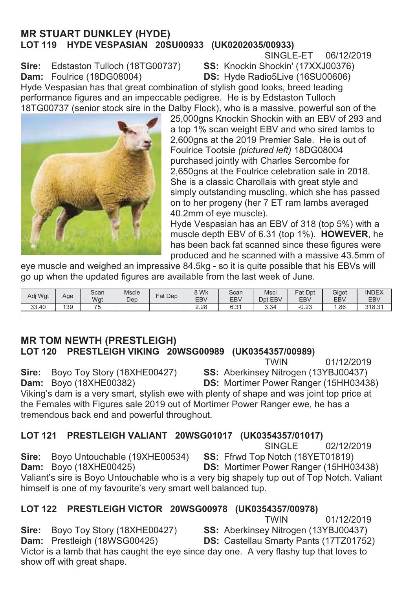### **MR STUART DUNKLEY (HYDE)** LOT 119 HYDE VESPASIAN 20SU00933 (UK0202035/00933)

SINGLE-ET 06/12/2019

**Sire:** Edstaston Tulloch (18TG00737)<br>**Dam:** Foulrice (18DG08004)

SS: Knockin Shockin' (17XXJ00376) **DS:** Hyde Radio5Live (16SU00606)

Hvde Vespasian has that great combination of stylish good looks, breed leading performance figures and an impeccable pedigree. He is by Edstaston Tulloch 18TG00737 (senior stock sire in the Dalby Flock), who is a massive, powerful son of the



25,000gns Knockin Shockin with an EBV of 293 and a top 1% scan weight EBV and who sired lambs to 2.600 ans at the 2019 Premier Sale. He is out of Foulrice Tootsie (pictured left) **18DG08004** purchased jointly with Charles Sercombe for 2,650gns at the Foulrice celebration sale in 2018. She is a classic Charollais with great style and simply outstanding muscling, which she has passed on to her progeny (her 7 ET ram lambs averaged 40.2mm of eye muscle).

Hyde Vespasian has an EBV of 318 (top 5%) with a muscle depth EBV of 6.31 (top 1%). **HOWEVER**, he has been back fat scanned since these figures were produced and he scanned with a massive 43.5mm of

eye muscle and weighed an impressive 84.5kg - so it is quite possible that his EBVs will go up when the updated figures are available from the last week of June.

| Adi Wat | Age | Scan<br>Wgt | <b>Mscle</b><br>Dep | Fat Dep | 8 Wk<br><b>EBV</b> | Scan<br>EBV        | Mscl<br>Dpt<br><b>EBV</b> | Fat<br>Dpt<br><b>EBV</b> | Gigot<br>EB <sub>V</sub> | <b>INDEX</b><br>EBV |
|---------|-----|-------------|---------------------|---------|--------------------|--------------------|---------------------------|--------------------------|--------------------------|---------------------|
| 33.40   | 139 | --<br>N     |                     |         | 2.28               | $\sim$<br>c<br>O.O | 3.34<br>-ن. ب             | $\sim$<br>-u.zo          | .86،                     | 31831<br>10.0       |

### **MR TOM NEWTH (PRESTLEIGH)** LOT 120 PRESTLEIGH VIKING 20WSG00989 (UK0354357/00989)<br>TWIN

 $T$ WIN 01/12/2019

**Sire:** Boyo Toy Story (18XHE00427) **SS:** Aberkinsey Nitrogen (13YBJ00437) **Dam:** Boyo (18XHE00382) **DS:** Mortimer Power Ranger (15HH0343 **DS:** Mortimer Power Ranger (15HH03438)

Viking's dam is a very smart, stylish ewe with plenty of shape and was joint top price at the Females with Figures sale 2019 out of Mortimer Power Ranger ewe, he has a tremendous back end and powerful throughout.

### LOT 121 PRESTLEIGH VALIANT 20WSG01017 (UK0354357/01017)

SINGLE 02/12/2019<br>**SS:** Ffrwd Top Notch (18YET01819) **Sire:** Boyo Untouchable (19XHE00534)<br>**Dam:** Boyo (18XHE00425) **DS:** Mortimer Power Ranger (15HH03438) Valiant's sire is Boyo Untouchable who is a very big shapely tup out of Top Notch. Valiant himself is one of my favourite's very smart well balanced tup.

## **/LOT 122 PRESTLEIGH VICTOR 20WSG00978 (UK0354357/00978)**<br>TWIN

 $T$ WIN 01/12/2019 **Sire:** Boyo Toy Story (18XHE00427) **SS:** Aberkinsey Nitrogen (13YBJ00437) **Dam:** Prestleigh (18WSG00425) **DS:** Castellau Smarty Pants (17TZ01752 **DS:** Castellau Smarty Pants (17TZ01752) Victor is a lamb that has caught the eye since day one. A very flashy tup that loves to show off with great shape.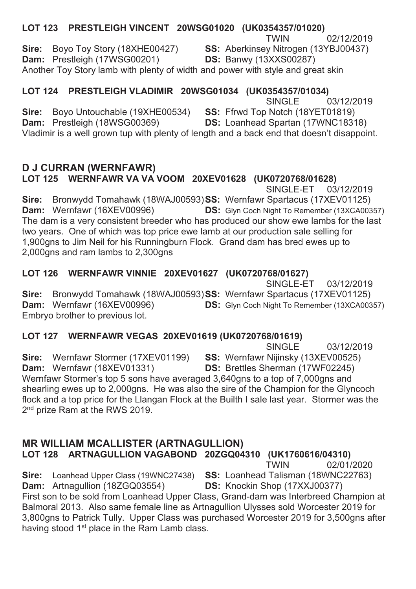#### LOT 123 PRESTLEIGH VINCENT 20WSG01020 (UK0354357/01020) **TWIN** 02/12/2019 Bovo Tov Story (18XHE00427) SS: Aberkinsey Nitrogen (13YBJ00437) Sire: Dam: Prestleigh (17WSG00201) **DS: Banwy (13XXS00287)** Another Toy Story lamb with plenty of width and power with style and great skin

### LOT 124 PRESTLEIGH VLADIMIR 20WSG01034 (UK0354357/01034)

SINGLE<sup>1</sup> 03/12/2019

Bovo Untouchable (19XHE00534) SS: Ffrwd Top Notch (18YET01819) Sire: Dam: Prestleigh (18WSG00369) DS: Loanhead Spartan (17WNC18318) Vladimir is a well grown tup with plenty of length and a back end that doesn't disappoint.

#### **D J CURRAN (WERNFAWR)** LOT 125 WERNFAWR VA VA VOOM 20XEV01628 (UK0720768/01628) SINGLE-ET 03/12/2019

Bronwydd Tomahawk (18WAJ00593)SS: Wernfawr Spartacus (17XEV01125) Sire: Dam: Wernfawr (16XEV00996) **DS:** Glyn Coch Night To Remember (13XCA00357) The dam is a very consistent breeder who has produced our show ewe lambs for the last two years. One of which was top price ewe lamb at our production sale selling for 1,900gns to Jim Neil for his Runningburn Flock. Grand dam has bred ewes up to 2,000gns and ram lambs to 2,300gns

### LOT 126 WERNFAWR VINNIE 20XEV01627 (UK0720768/01627)

SINGLE-ET 03/12/2019 Sire: Bronwydd Tomahawk (18WAJ00593)SS: Wernfawr Spartacus (17XEV01125) **DS:** Glyn Coch Night To Remember (13XCA00357) Dam: Wernfawr (16XEV00996) Embryo brother to previous lot.

### LOT 127 WERNFAWR VEGAS 20XEV01619 (UK0720768/01619)

SINGLE<sup></sup> 03/12/2019

Sire: Wernfawr Stormer (17XEV01199) SS: Wernfawr Nijinsky (13XEV00525) Dam: Wernfawr (18XEV01331) DS: Brettles Sherman (17WF02245) Wernfawr Stormer's top 5 sons have averaged 3,640gns to a top of 7,000gns and shearling ewes up to 2,000gns. He was also the sire of the Champion for the Glyncoch flock and a top price for the Llangan Flock at the Builth I sale last year. Stormer was the 2<sup>nd</sup> prize Ram at the RWS 2019.

### **MR WILLIAM MCALLISTER (ARTNAGULLION)**

Sire:

LOT 128 ARTNAGULLION VAGABOND 20ZGQ04310 (UK1760616/04310)

**TWIN** 02/01/2020

SS: Loanhead Talisman (18WNC22763) Loanhead Upper Class (19WNC27438) Dam: Artnagullion (18ZGQ03554) DS: Knockin Shop (17XXJ00377) First son to be sold from Loanhead Upper Class, Grand-dam was Interbreed Champion at

Balmoral 2013. Also same female line as Artnagullion Ulysses sold Worcester 2019 for 3,800gns to Patrick Tully. Upper Class was purchased Worcester 2019 for 3,500gns after having stood 1<sup>st</sup> place in the Ram Lamb class.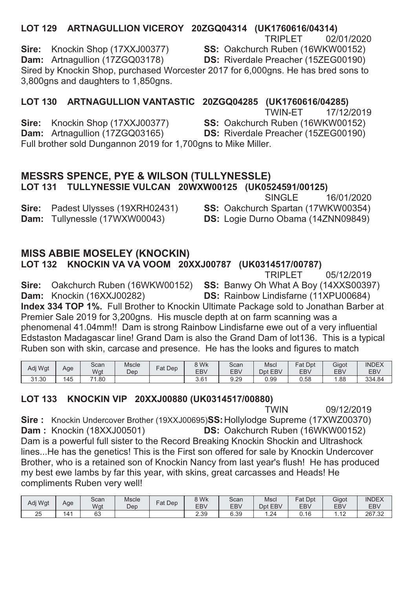### LOT 129 ARTNAGULLION VICEROY 20ZGQ04314 (UK1760616/04314)

**TRIPLET** 02/01/2020

SS: Oakchurch Ruben (16WKW00152)

Dam: Artnagullion (17ZGQ03178) DS: Riverdale Preacher (15ZEG00190) Sired by Knockin Shop, purchased Worcester 2017 for 6,000gns. He has bred sons to 3.800gns and daughters to 1.850gns.

### LOT 130 ARTNAGULLION VANTASTIC 20ZGQ04285 (UK1760616/04285)

TWIN-FT 17/12/2019 Sire: Knockin Shop (17XXJ00377) SS: Oakchurch Ruben (16WKW00152) Dam: Artnagullion (17ZGQ03165) DS: Riverdale Preacher (15ZEG00190) Full brother sold Dungannon 2019 for 1.700gns to Mike Miller.

### **MESSRS SPENCE, PYE & WILSON (TULLYNESSLE)** LOT 131 TULLYNESSIE VULCAN 20WXW00125 (UK0524591/00125)

Padest Ulysses (19XRH02431) Sire: Dam: Tullynessle (17WXW00043)

Sire: Knockin Shop (17XXJ00377)

DS: Logie Durno Obama (14ZNN09849)

### **MISS ABBIE MOSELEY (KNOCKIN)**

### LOT 132 KNOCKIN VA VA VOOM 20XXJ00787 (UK0314517/00787)

**TRIPLET** 05/12/2019

Sire: Oakchurch Ruben (16WKW00152) SS: Banwy Oh What A Boy (14XXS00397) Dam: Knockin (16XXJ00282) DS: Rainbow Lindisfarne (11XPU00684) Index 334 TOP 1%. Full Brother to Knockin Ultimate Package sold to Jonathan Barber at Premier Sale 2019 for 3.200gns. His muscle depth at on farm scanning was a phenomenal 41.04mm!! Dam is strong Rainbow Lindisfarne ewe out of a very influential Edstaston Madagascar line! Grand Dam is also the Grand Dam of lot136. This is a typical Ruben son with skin, carcase and presence. He has the looks and figures to match

| Adi Wat | Age | Scan<br>Wat | <b>Mscle</b><br>Dep | $=$ at<br>Dep | 8 Wk<br>EB\      | Scan<br><b>EBV</b> | Mscl<br>EBV<br>Dpt | Fat<br>Dpt<br>EBV | Gigot<br>EB\ | <b>INDEX</b><br><b>EBV</b> |
|---------|-----|-------------|---------------------|---------------|------------------|--------------------|--------------------|-------------------|--------------|----------------------------|
| 31.30   | 145 | . .<br>.80  |                     |               | 3.6 <sup>4</sup> | 9.29               | 0.99               | 0.58              | . 88         | 334.84                     |

### LOT 133 KNOCKIN VIP 20XXJ00880 (UK0314517/00880)

**TWIN** 09/12/2019 Sire: Knockin Undercover Brother (19XXJ00695)SS: Hollylodge Supreme (17XWZ00370) **Dam: Knockin (18XXJ00501)** DS: Oakchurch Ruben (16WKW00152) Dam is a powerful full sister to the Record Breaking Knockin Shockin and Ultrashock lines...He has the genetics! This is the First son offered for sale by Knockin Undercover Brother, who is a retained son of Knockin Nancy from last year's flush! He has produced my best ewe lambs by far this year, with skins, great carcasses and Heads! He compliments Ruben very well!

| Adj Wgt     | Age | Scan<br>Wat | <b>Mscle</b><br>Dep | $at$<br>Dep | 3 Wk<br>EBV  | Scan<br><b>EBV</b> | <b>Mscl</b><br>Opt EBV | Dpt<br>Fat<br>EBV | Gigot<br>EB\ | <b>INDEX</b><br><b>EBV</b> |
|-------------|-----|-------------|---------------------|-------------|--------------|--------------------|------------------------|-------------------|--------------|----------------------------|
| $\sim$<br>∠ | ٠Δ  | $\sim$<br>ೲ |                     |             | ว วด<br>2.ບບ | 6.39               | $\sim$<br>. –          | 0.16              |              | 267<br>$\sim$<br>ےت.       |

16/01/2020 **SINGLE** SS: Oakchurch Spartan (17WKW00354)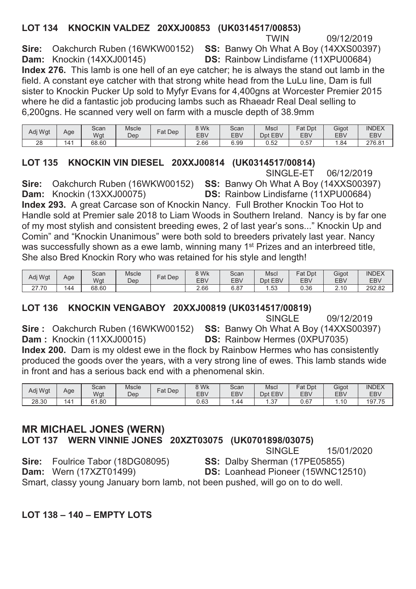#### LOT 134 KNOCKIN VALDEZ 20XXJ00853 (UK0314517/00853) **TWIN**

09/12/2019

Sire: Oakchurch Ruben (16WKW00152) SS: Banwy Oh What A Boy (14XXS00397) Dam: Knockin (14XXJ00145) DS: Rainbow Lindisfarne (11XPU00684) Index 276. This lamb is one hell of an eve catcher; he is always the stand out lamb in the field. A constant eye catcher with that strong white head from the LuLu line, Dam is full sister to Knockin Pucker Up sold to Myfyr Evans for 4,400gns at Worcester Premier 2015 where he did a fantastic job producing lambs such as Rhaeadr Real Deal selling to 6.200 gns. He scanned very well on farm with a muscle depth of 38.9mm

| Adj Wgt | Age | Scan<br>Wgt | Mscle<br>Dep | Dep<br>$=$ at | 8 Wk<br>EBV | Scan<br>EBV | Mscl<br>Dpt<br><b>EBV</b> | $=$ at<br>Dpt<br><b>EBV</b> | Gigot<br>EB <sub>V</sub> | <b>INDEX</b><br><b>EBV</b> |
|---------|-----|-------------|--------------|---------------|-------------|-------------|---------------------------|-----------------------------|--------------------------|----------------------------|
| 28      | 141 | 68.60       |              |               | 2.66        | 6.99        | 0.52                      | 0.57                        | 84،،                     | 276.81                     |

### LOT 135 KNOCKIN VIN DIESEL 20XXJ00814 (UK0314517/00814)

SINGLE-ET 06/12/2019

Oakchurch Ruben (16WKW00152) SS: Banwy Oh What A Boy (14XXS00397) Sire: DS: Rainbow Lindisfarne (11XPU00684) Dam: Knockin (13XXJ00075) Index 293. A great Carcase son of Knockin Nancy. Full Brother Knockin Too Hot to Handle sold at Premier sale 2018 to Liam Woods in Southern Ireland. Nancy is by far one of my most stylish and consistent breeding ewes, 2 of last year's sons..." Knockin Up and Comin" and "Knockin Unanimous" were both sold to breeders privately last year. Nancy was successfully shown as a ewe lamb, winning many 1<sup>st</sup> Prizes and an interbreed title, She also Bred Knockin Rory who was retained for his style and length!

| Adj Wgt            | Age | Scan<br>Wgt | Mscle<br>Dep | Dep<br>Fat | 8 Wk<br>EB <sub>V</sub> | Scan<br><b>EBV</b> | Msci<br>Dpt EBV | Fat<br>Dpt<br><b>EBV</b> | Gigot<br>EB <sub>V</sub> | <b>INDEX</b><br>EBV |
|--------------------|-----|-------------|--------------|------------|-------------------------|--------------------|-----------------|--------------------------|--------------------------|---------------------|
| .70<br>$\sim$<br>ے | 144 | 68.60       |              |            | 2.66                    | െറ<br>0.ŏ          | .53             | 0.36                     | 10                       | 292.82              |

### LOT 136 KNOCKIN VENGABOY 20XXJ00819 (UK0314517/00819)

**SINGLE** 09/12/2019 Sire: Oakchurch Ruben (16WKW00152) SS: Banwy Oh What A Boy (14XXS00397)

Dam: Knockin (11XXJ00015)

**DS:** Rainbow Hermes (0XPU7035)

Index 200. Dam is my oldest ewe in the flock by Rainbow Hermes who has consistently produced the goods over the years, with a very strong line of ewes. This lamb stands wide in front and has a serious back end with a phenomenal skin.

| Adj Wgt | Age             | Scan<br>Wgt | <b>Mscle</b><br>Dep | $at$ Dep | 8 Wk<br><b>EBV</b> | Scan<br><b>EBV</b> | Mscl<br><b>EBV</b><br>Dpt | Fat Dpt<br><b>EBV</b> | Gigot<br>EB\ | <b>INDEX</b><br><b>EBV</b> |
|---------|-----------------|-------------|---------------------|----------|--------------------|--------------------|---------------------------|-----------------------|--------------|----------------------------|
| 28.30   | 14 <sup>4</sup> | . .80<br>6' |                     |          | 0.63               | .44                | $\sim$ $-$<br>، ب         | 0.67                  | 10<br>.      | 197.75                     |

#### **MR MICHAEL JONES (WERN)** LOT 137 WERN VINNIE JONES 20XZT03075 (UK0701898/03075) **SINGLE**

15/01/2020 Sire: Foulrice Tabor (18DG08095) SS: Dalby Sherman (17PE05855) **Dam:** Wern (17XZT01499) DS: Loanhead Pioneer (15WNC12510)

Smart, classy young January born lamb, not been pushed, will go on to do well.

### **LOT 138 - 140 - EMPTY LOTS**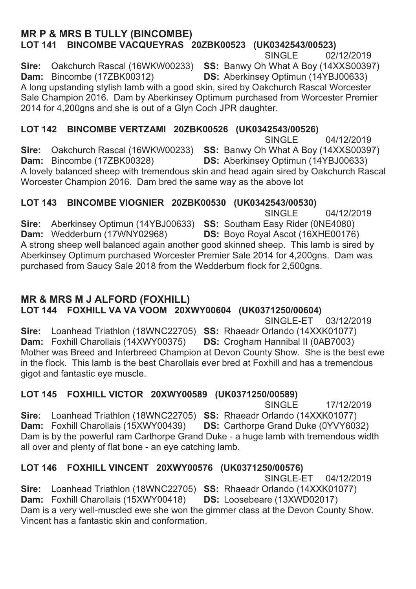#### **MR P & MRS B TULLY (BINCOMBE)** LOT 141 BINCOMBE VACQUEYRAS 20ZBK00523 (UK0342543/00523) SINGLE 02/12/2019 **Sire:** Oakchurch Rascal (16WKW00233) **SS:** Banwy Oh What A Boy (14XXS00397) **Dam:** Bincombe (17ZBK00312) **DS:** Aberkinsey Optimun (14YBJ00633) **DS:** Aberkinsey Optimun (14YBJ00633) A long upstanding stylish lamb with a good skin, sired by Oakchurch Rascal Worcester Sale Champion 2016. Dam by Aberkinsey Optimum purchased from Worcester Premier 2014 for 4,200 gns and she is out of a Glyn Coch JPR daughter.

### LOT 142 BINCOMBE VERTZAMI 20ZBK00526 (UK0342543/00526)

SINGLE 04/12/2019 **Sire:** Oakchurch Rascal (16WKW00233) **SS:** Banwy Oh What A Boy (14XXS00397) **Dam:** Bincombe (17ZBK00328) **DS:** Aberkinsey Optimun (14YBJ00633) **DS: Aberkinsey Optimun (14YBJ00633)** A lovely balanced sheep with tremendous skin and head again sired by Oakchurch Rascal Worcester Champion 2016. Dam bred the same way as the above lot

### LOT 143 BINCOMBE VIOGNIER 20ZBK00530 (UK0342543/00530)

 6,1\*/( **Sire:** Aberkinsey Optimun (14YBJ00633) **SS:** Southam Easy Rider (0NE4080) **Dam:** Wedderburn (17WNY02968) **DS:** Boyo Royal Ascot (16XHE00176 **DS:** Boyo Royal Ascot (16XHE00176) A strong sheep well balanced again another good skinned sheep. This lamb is sired by Aberkinsey Optimum purchased Worcester Premier Sale 2014 for 4,200gns. Dam was purchased from Saucy Sale 2018 from the Wedderburn flock for 2,500gns.

### **MR & MRS M J ALFORD (FOXHILL)**

LOT 144 FOXHILL VA VA VOOM 20XWY00604 (UK0371250/00604)

SINGLE-ET 03/12/2019

**Sire:** Loanhead Triathlon (18WNC22705) **SS:** Rhaeadr Orlando (14XXK01077) **Dam:** Foxhill Charollais (14XWY00375) **DS:** Crogham Hannibal II (0AB7003) **Dam:** Foxhill Charollais (14XWY00375) Mother was Breed and Interbreed Champion at Devon County Show. She is the best ewe in the flock. This lamb is the best Charollais ever bred at Foxhill and has a tremendous gigot and fantastic eye muscle.

## **/LOT 145 FOXHILL VICTOR 20XWY00589 (UK0371250/00589)**<br>F SINGLE

For the state of the SINGLE 17/12/2019 **Sire:** Loanhead Triathlon (18WNC22705) **SS:** Rhaeadr Orlando (14XXK01077) **Dam:** Foxhill Charollais (15XWY00439) **DS:** Carthorpe Grand Duke (0YVY603) **DS:** Carthorpe Grand Duke (0YVY6032) Dam is by the powerful ram Carthorpe Grand Duke - a huge lamb with tremendous width all over and plenty of flat bone - an eye catching lamb.

## **//LOT 146 FOXHILL VINCENT 20XWY00576 (UK0371250/00576)<br>SINGLE-ET 04/12/2019**

SINGLE-ET **Sire:** Loanhead Triathlon (18WNC22705) **SS:** Rhaeadr Orlando (14XXK01077) **Dam:** Foxhill Charollais (15XWY00418) **DS:** Loosebeare (13XWD02017) Dam is a very well-muscled ewe she won the gimmer class at the Devon County Show. Vincent has a fantastic skin and conformation.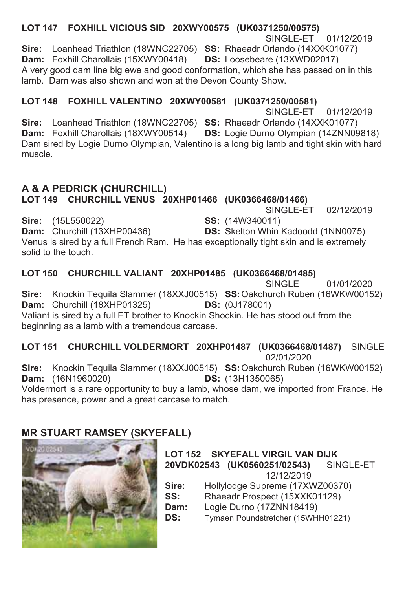LOT 147 FOXHILL VICIOUS SID 20XWY00575 (UK0371250/00575) SINGLE-ET 01/12/2019 Sire: Loanhead Triathlon (18WNC22705) SS: Rhaeadr Orlando (14XXK01077) Dam: Foxhill Charollais (15XWY00418) DS: Loosebeare (13XWD02017) A very good dam line big ewe and good conformation, which she has passed on in this lamb. Dam was also shown and won at the Devon County Show.

LOT 148 FOXHILL VALENTINO 20XWY00581 (UK0371250/00581)

SINGLE-FT 01/12/2019 Sire: Loanhead Triathlon (18WNC22705) SS: Rhaeadr Orlando (14XXK01077) Dam: Foxhill Charollais (18XWY00514) DS: Logie Durno Olympian (14ZNN09818) Dam sired by Logie Durno Olympian, Valentino is a long big lamb and tight skin with hard muscle

## A & A PEDRICK (CHURCHILL)

LOT 149 CHURCHILL VENUS 20XHP01466 (UK0366468/01466)

SINGLE-ET 02/12/2019

Sire: (15L550022) SS: (14W340011) Dam: Churchill (13XHP00436) **DS:** Skelton Whin Kadoodd (1NN0075) Venus is sired by a full French Ram. He has exceptionally tight skin and is extremely solid to the touch.

### LOT 150 CHURCHILL VALIANT 20XHP01485 (UK0366468/01485)

**SINGLE** 01/01/2020 Sire: Knockin Tequila Slammer (18XXJ00515) SS: Oakchurch Ruben (16WKW00152) Dam: Churchill (18XHP01325) **DS:** (0J178001) Valiant is sired by a full ET brother to Knockin Shockin. He has stood out from the beginning as a lamb with a tremendous carcase.

LOT 151 CHURCHILL VOLDERMORT 20XHP01487 (UK0366468/01487) SINGLE 02/01/2020

Sire: Knockin Tequila Slammer (18XXJ00515) SS: Oakchurch Ruben (16WKW00152) Dam: (16N1960020) **DS:** (13H1350065)

Voldermort is a rare opportunity to buy a lamb, whose dam, we imported from France. He has presence, power and a great carcase to match.

### **MR STUART RAMSEY (SKYEFALL)**



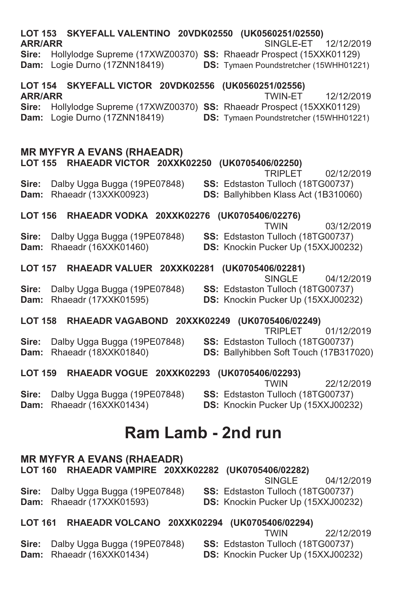| <b>ARR/ARR</b>                   |  | LOT 153 SKYEFALL VALENTINO 20VDK02550 (UK0560251/02550)                                   |  |                           |               | SINGLE-ET                                           | 12/12/2019                                                                                                               |
|----------------------------------|--|-------------------------------------------------------------------------------------------|--|---------------------------|---------------|-----------------------------------------------------|--------------------------------------------------------------------------------------------------------------------------|
|                                  |  | Dam: Logie Durno (17ZNN18419)                                                             |  |                           |               |                                                     | Sire: Hollylodge Supreme (17XWZ00370) SS: Rhaeadr Prospect (15XXK01129)<br><b>DS:</b> Tymaen Poundstretcher (15WHH01221) |
| <b>LOT 154</b><br><b>ARR/ARR</b> |  | SKYEFALL VICTOR 20VDK02556 (UK0560251/02556)                                              |  |                           |               | <b>TWIN-ET</b>                                      | 12/12/2019                                                                                                               |
| Sire:                            |  | Dam: Logie Durno (17ZNN18419)                                                             |  |                           |               |                                                     | Hollylodge Supreme (17XWZ00370) SS: Rhaeadr Prospect (15XXK01129)<br>DS: Tymaen Poundstretcher (15WHH01221)              |
|                                  |  | <b>MR MYFYR A EVANS (RHAEADR)</b><br>LOT 155 RHAEADR VICTOR 20XXK02250 (UK0705406/02250)  |  |                           |               |                                                     |                                                                                                                          |
| Sire:<br><b>Dam:</b>             |  | Dalby Ugga Bugga (19PE07848)<br>Rhaeadr (13XXK00923)                                      |  |                           |               | <b>TRIPLET</b><br>SS: Edstaston Tulloch (18TG00737) | 02/12/2019<br>DS: Ballyhibben Klass Act (1B310060)                                                                       |
|                                  |  | LOT 156 RHAEADR VODKA 20XXK02276 (UK0705406/02276)                                        |  |                           | <b>TWIN</b>   |                                                     | 03/12/2019                                                                                                               |
| Sire:<br>Dam:                    |  | Dalby Ugga Bugga (19PE07848)<br>Rhaeadr (16XXK01460)                                      |  |                           |               |                                                     | SS: Edstaston Tulloch (18TG00737)<br>DS: Knockin Pucker Up (15XXJ00232)                                                  |
| <b>LOT 157</b>                   |  | RHAEADR VALUER 20XXK02281                                                                 |  | (UK0705406/02281)         | SINGLE        |                                                     | 04/12/2019                                                                                                               |
| Sire:                            |  | Dalby Ugga Bugga (19PE07848)<br>Dam: Rhaeadr (17XXK01595)                                 |  |                           |               | SS: Edstaston Tulloch (18TG00737)                   | DS: Knockin Pucker Up (15XXJ00232)                                                                                       |
|                                  |  | LOT 158 RHAEADR VAGABOND 20XXK02249 (UK0705406/02249)                                     |  |                           |               | <b>TRIPLET</b>                                      | 01/12/2019                                                                                                               |
| Sire:<br>Dam:                    |  | Dalby Ugga Bugga (19PE07848)<br>Rhaeadr (18XXK01840)                                      |  |                           |               | SS: Edstaston Tulloch (18TG00737)                   | DS: Ballyhibben Soft Touch (17B317020)                                                                                   |
| <b>LOT 159</b>                   |  | RHAEADR VOGUE 20XXK02293 (UK0705406/02293)                                                |  |                           | <b>TWIN</b>   |                                                     | 22/12/2019                                                                                                               |
| Sire:<br>Dam:                    |  | Dalby Ugga Bugga (19PE07848)<br>Rhaeadr (16XXK01434)                                      |  |                           |               | SS: Edstaston Tulloch (18TG00737)                   | DS: Knockin Pucker Up (15XXJ00232)                                                                                       |
|                                  |  |                                                                                           |  | <b>Ram Lamb - 2nd run</b> |               |                                                     |                                                                                                                          |
|                                  |  | <b>MR MYFYR A EVANS (RHAEADR)</b><br>LOT 160 RHAEADR VAMPIRE 20XXK02282 (UK0705406/02282) |  |                           | <b>SINGLE</b> |                                                     | 04/12/2019                                                                                                               |
| Sire:<br>Dam:                    |  | Dalby Ugga Bugga (19PE07848)<br>Rhaeadr (17XXK01593)                                      |  |                           |               |                                                     | SS: Edstaston Tulloch (18TG00737)<br>DS: Knockin Pucker Up (15XXJ00232)                                                  |
| <b>LOT 161</b>                   |  | RHAEADR VOLCANO 20XXK02294 (UK0705406/02294)                                              |  |                           | <b>TWIN</b>   |                                                     | 22/12/2019                                                                                                               |
| Sire:<br>Dam:                    |  | Dalby Ugga Bugga (19PE07848)<br>Rhaeadr (16XXK01434)                                      |  |                           |               | SS: Edstaston Tulloch (18TG00737)                   | DS: Knockin Pucker Up (15XXJ00232)                                                                                       |